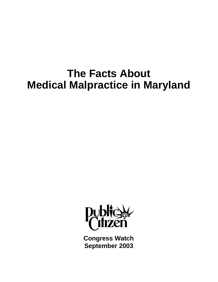# **The Facts About Medical Malpractice in Maryland**



**Congress Watch September 2003**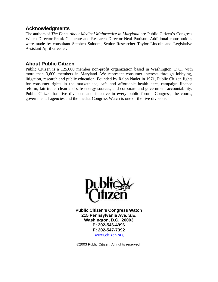#### **Acknowledgments**

The authors of *The Facts About Medical Malpractice in Maryland* are Public Citizen's Congress Watch Director Frank Clemente and Research Director Neal Pattison. Additional contributions were made by consultant Stephen Saloom, Senior Researcher Taylor Lincoln and Legislative Assistant April Greener.

### **About Public Citizen**

Public Citizen is a 125,000 member non-profit organization based in Washington, D.C., with more than 3,600 members in Maryland. We represent consumer interests through lobbying, litigation, research and public education. Founded by Ralph Nader in 1971, Public Citizen fights for consumer rights in the marketplace, safe and affordable health care, campaign finance reform, fair trade, clean and safe energy sources, and corporate and government accountability. Public Citizen has five divisions and is active in every public forum: Congress, the courts, governmental agencies and the media. Congress Watch is one of the five divisions.



**Public Citizen's Congress Watch 215 Pennsylvania Ave. S.E. Washington, D.C. 20003 P: 202-546-4996 F: 202-547-7392** www.citizen.org

©2003 Public Citizen. All rights reserved.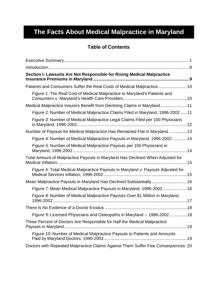# **The Facts About Medical Malpractice in Maryland**

### **Table of Contents**

| Section I: Lawsuits Are Not Responsible for Rising Medical Malpractice           |
|----------------------------------------------------------------------------------|
| Patients and Consumers Suffer the Real Costs of Medical Malpractice              |
| Figure 1: The Real Cost of Medical Malpractice to Maryland's Patients and        |
| Medical Malpractice Insurers Benefit from Declining Claims in Maryland 11        |
| Figure 2: Number of Medical Malpractice Claims Filed in Maryland, 1996-2002 11   |
| Figure 3: Number of Medical Malpractice Legal Claims Filed per 100 Physicians    |
| Number of Payouts for Medical Malpractice Has Remained Flat in Maryland  13      |
| Figure 4: Number of Medical Malpractice Payouts in Maryland, 1996-200214         |
| Figure 5: Number of Medical Malpractice Payouts per 100 Physicians in            |
| Total Amount of Malpractice Payouts in Maryland Has Declined When Adjusted for   |
| Figure 6: Total Medical Malpractice Payouts in Maryland v. Payouts Adjusted for  |
| Mean Malpractice Payouts in Maryland Has Declined Substantially 16               |
| Figure 7: Mean Medical Malpractice Payouts in Maryland, 1996-200216              |
| Figure 8: Number of Medical Malpractice Payouts Over \$1 Million in Maryland,    |
|                                                                                  |
| Figure 9: Licensed Physicians and Osteopaths in Maryland -- 1996-2002 18         |
| Three Percent of Doctors Are Responsible for Half the Medical Malpractice        |
| Figure 10: Number of Medical Malpractice Payouts to Patients and Amounts         |
| Doctors with Repeated Malpractice Claims Against Them Suffer Few Consequences.20 |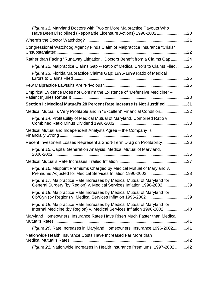| Figure 11: Maryland Doctors with Two or More Malpractice Payouts Who                                                                               |  |
|----------------------------------------------------------------------------------------------------------------------------------------------------|--|
|                                                                                                                                                    |  |
| Congressional Watchdog Agency Finds Claim of Malpractice Insurance "Crisis"                                                                        |  |
| Rather than Facing "Runaway Litigation," Doctors Benefit from a Claims Gap 24                                                                      |  |
| Figure 12: Malpractice Claims Gap -- Ratio of Medical Errors to Claims Filed25                                                                     |  |
| Figure 13: Florida Malpractice Claims Gap: 1996-1999 Ratio of Medical                                                                              |  |
|                                                                                                                                                    |  |
| Empirical Evidence Does not Confirm the Existence of "Defensive Medicine" -                                                                        |  |
| Section II: Medical Mutual's 28 Percent Rate Increase Is Not Justified 31                                                                          |  |
| Medical Mutual Is Very Profitable and in "Excellent" Financial Condition32                                                                         |  |
| Figure 14: Profitability of Medical Mutual of Maryland, Combined Ratio v.                                                                          |  |
| Medical Mutual and Independent Analysts Agree – the Company Is                                                                                     |  |
| Recent Investment Losses Represent a Short-Term Drag on Profitability36                                                                            |  |
| Figure 15: Capital Generation Analysis, Medical Mutual of Maryland,                                                                                |  |
|                                                                                                                                                    |  |
| Figure 16: Midpoint Premiums Charged by Medical Mutual of Maryland v.                                                                              |  |
| Figure 17: Malpractice Rate Increases by Medical Mutual of Maryland for<br>General Surgery (by Region) v. Medical Services Inflation 1996-200239   |  |
| Figure 18: Malpractice Rate Increases by Medical Mutual of Maryland for                                                                            |  |
| Figure 19: Malpractice Rate Increases by Medical Mutual of Maryland for<br>Internal Medicine (by Region) v. Medical Services Inflation 1996-200240 |  |
| Maryland Homeowners' Insurance Rates Have Risen Much Faster than Medical                                                                           |  |
| Figure 20: Rate Increases in Maryland Homeowners' Insurance 1996-200241                                                                            |  |
| Nationwide Health Insurance Costs Have Increased Far More than                                                                                     |  |
| Figure 21: Nationwide Increases in Health Insurance Premiums, 1997-2002 42                                                                         |  |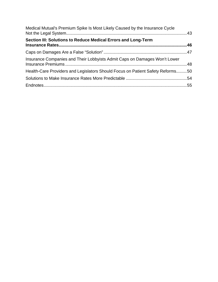| Medical Mutual's Premium Spike Is Most Likely Caused by the Insurance Cycle    |  |
|--------------------------------------------------------------------------------|--|
| Section III: Solutions to Reduce Medical Errors and Long-Term                  |  |
|                                                                                |  |
| Insurance Companies and Their Lobbyists Admit Caps on Damages Won't Lower      |  |
| Health-Care Providers and Legislators Should Focus on Patient Safety Reforms50 |  |
|                                                                                |  |
|                                                                                |  |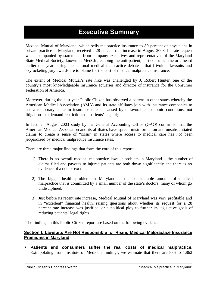# **Executive Summary**

Medical Mutual of Maryland, which sells malpractice insurance to 80 percent of physicians in private practice in Maryland, received a 28 percent rate increase in August 2003. Its rate request was accompanied by statements from company executives and representatives of the Maryland State Medical Society, known as MedChi, echoing the anti-patient, anti-consumer rhetoric heard earlier this year during the national medical malpractice debate – that frivolous lawsuits and skyrocketing jury awards are to blame for the cost of medical malpractice insurance.

The extent of Medical Mutual's rate hike was challenged by J. Robert Hunter, one of the country's most knowledgeable insurance actuaries and director of insurance for the Consumer Federation of America.

Moreover, during the past year Public Citizen has observed a pattern in other states whereby the American Medical Association (AMA) and its state affiliates join with insurance companies to use a temporary spike in insurance rates – caused by unfavorable economic conditions, not litigation – to demand restrictions on patients' legal rights.

In fact, an August 2003 study by the General Accounting Office (GAO) confirmed that the American Medical Association and its affiliates have spread misinformation and unsubstantiated claims to create a sense of "crisis" in states where access to medical care has *not* been jeopardized by medical malpractice insurance rates.

There are three major findings that form the core of this report:

- 1) There is no overall medical malpractice lawsuit problem in Maryland the number of claims filed and payouts to injured patients are both down significantly and there is no evidence of a doctor exodus.
- 2) The bigger health problem in Maryland is the considerable amount of medical malpractice that is committed by a small number of the state's doctors, many of whom go undisciplined.
- 3) Just before its recent rate increase, Medical Mutual of Maryland was very profitable and in "excellent" financial health, raising questions about whether its request for a 28 percent rate increase was justified, or a political ploy to further its legislative goals of reducing patients' legal rights.

The findings in this Public Citizen report are based on the following evidence:

#### **Section I: Lawsuits Are Not Responsible for Rising Medical Malpractice Insurance Premiums in Maryland**

• **Patients and consumers suffer the real costs of medical malpractice.** Extrapolating from Institute of Medicine findings, we estimate that there are 836 to 1,862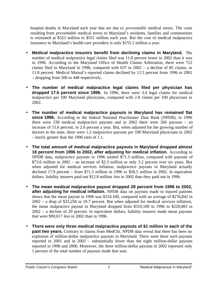hospital deaths in Maryland each year that are due to *preventable* medical errors. The costs resulting from *preventable* medical errors to Maryland's residents, families and communities is estimated at \$323 million to \$551 million each year. But the cost of medical malpractice insurance to Maryland's health-care providers is only \$155.1 million a year.

- **Medical malpractice insurers benefit from declining claims in Maryland.** The number of medical malpractice legal claims filed was 11.8 percent lower in 2002 than it was in 1996. According to the Maryland Office of Health Claims Arbitration, there were 722 claims filed in Maryland in 1996, compared with 637 in 2002 – a decline of 85 claims, or 11.8 percent. Medical Mutual's reported claims declined by 11.5 percent from 1996 to 2001 – dropping from 506 to 448 respectively.
- **The number of medical malpractice legal claims filed per physician has dropped 17.6 percent since 1996.** In 1996, there were 3.4 legal claims for medical malpractice per 100 Maryland physicians, compared with 2.8 claims per 100 physicians in 2002.
- **The number of medical malpractice payouts in Maryland has remained flat since 1996.** According to the federal National Practitioner Data Bank (NPDB), in 1996 there were 230 medical malpractice payouts and in 2002 there were 266 payouts – an increase of 15.6 percent, or 2.6 percent a year. But, when adjusted for the growing number of doctors in the state, there were 1.2 malpractice payouts per 100 Maryland physicians in 2002 – barely greater than the 1996 ratio of 1.1.
- **The total amount of medical malpractice payouts in Maryland dropped almost 18 percent from 1996 to 2002, after adjusting for medical inflation.** According to NPDB data, malpractice payouts in 1996 totaled \$71.3 million, compared with payouts of \$73.6 million in 2002 – an increase of \$2.3 million or only 3.2 percent over six years. But when adjusted for medical services inflation, malpractice payouts in Maryland actually declined 17.9 percent – from \$71.3 million in 1996 to \$58.5 million in 2002. In equivalent dollars, liability insurers paid out \$12.8 million *less* in 2002 than they paid out in 1996.
- **The mean medical malpractice payout dropped 29 percent from 1996 to 2002, after adjusting for medical inflation.** NPDB data on payouts made to injured patients shows that the mean payout in 1996 was \$310,100, compared with an average of \$276,842 in 2002 – a drop of \$33,258 or 10.7 percent. But when adjusted for medical services inflation, the mean malpractice payout in Maryland dropped from \$310,100 in 1996 to \$220,083 in 2002 – a decline of 29 percent. In equivalent dollars, liability insurers made mean payouts that were \$90,017 *less* in 2002 than in 1996.
- **There were only three medical malpractice payouts of \$1 million in each of the past two years.** Contrary to claims from MedChi, NPDB data reveal that there has been no explosion of million-dollar malpractice payouts in Maryland. There were three such payouts reported in 2001 and in 2002 – substantially fewer than the eight million-dollar payouts reported in 1996 and 2000. Moreover, the three million-dollar payouts in 2002 represent only 1 percent of the total number of payouts made that year.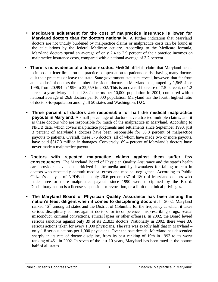- **Medicare's adjustment for the cost of malpractice insurance is lower for Maryland doctors than for doctors nationally.** A further indication that Maryland doctors are not unduly burdened by malpractice claims or malpractice costs can be found in the calculations by the federal Medicare actuary. According to the Medicare formula, Maryland doctors spend an average of only 2.4 to 2.9 percent of their practice incomes on malpractice insurance costs, compared with a national average of 3.2 percent.
- **There is no evidence of a doctor exodus.** MedChi officials claim that Maryland needs to impose stricter limits on malpractice compensation to patients or risk having many doctors quit their practices or leave the state. State government statistics reveal, however, that far from an "exodus" of doctors the number of resident doctors in Maryland has jumped by 1,565 since 1996, from 20,994 in 1996 to 22,559 in 2002. This is an overall increase of 7.5 percent, or 1.2 percent a year. Maryland had 38.2 doctors per 10,000 population in 2001, compared with a national average of 26.8 doctors per 10,000 population. Maryland has the fourth highest ratio of doctors-to-population among all 50 states and Washington, D.C.
- **Three percent of doctors are responsible for half the medical malpractice payouts in Maryland.** A small percentage of doctors have attracted multiple claims, and it is these doctors who are responsible for much of the malpractice in Maryland. According to NPDB data, which covers malpractice judgments and settlements since September 1990, just 3 percent of Maryland's doctors have been responsible for 50.8 percent of malpractice payouts to patients. Overall, these 576 doctors, all of whom have made two or more payouts, have paid \$317.3 million in damages. Conversely, 89.4 percent of Maryland's doctors have never made a malpractice payout.
- **Doctors with repeated malpractice claims against them suffer few consequences.** The Maryland Board of Physician Quality Assurance and the state's health care providers have been criticized in the media and by lawmakers for failing to rein in doctors who repeatedly commit medical errors and medical negligence. According to Public Citizen's analysis of NPDB data, only 20.6 percent (37 of 180) of Maryland doctors who made three or more malpractice payouts since 1990 were disciplined by the Board. Disciplinary action is a license suspension or revocation, or a limit on clinical privileges.
- **The Maryland Board of Physician Quality Assurance has been among the nation's least diligent when it comes to disciplining doctors.** In 2002, Maryland ranked  $46<sup>th</sup>$  among all states and the District of Columbia for the frequency at which it takes serious disciplinary actions against doctors for incompetence, misprescribing drugs, sexual misconduct, criminal convictions, ethical lapses or other offenses. In 2002, the Board levied serious sanctions against only 39 of its 21,833 doctors. Nationally in 2002, there were 3.6 serious actions taken for every 1,000 physicians. The rate was exactly half that in Maryland – only 1.8 serious actions per 1,000 physicians. Over the past decade, Maryland has descended sharply in its rate of doctor discipline, from its best ranking of 19th in 1993 to its worst ranking of  $46<sup>th</sup>$  in 2002. In seven of the last 10 years, Maryland has been rated in the bottom half of all states.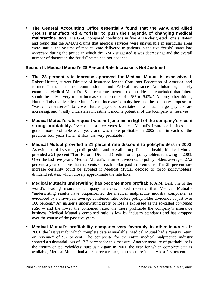• **The General Accounting Office essentially found that the AMA and allied groups manufactured a "crisis" to push their agenda of changing medical malpractice laws.** The GAO compared conditions in five AMA-designated "crisis states" and found that the AMA's claims that medical services were unavailable in particular areas were untrue; the volume of medical care delivered to patients in the five "crisis" states had *increased* during the period in which the AMA suggested it was decreasing; and the overall number of doctors in the "crisis" states had not declined.

#### **Section II: Medical Mutual's 28 Percent Rate Increase Is Not Justified**

- **The 28 percent rate increase approved for Medical Mutual is excessive.** J. Robert Hunter, current Director of Insurance for the Consumer Federation of America, and former Texas insurance commissioner and Federal Insurance Administrator, closely examined Medical Mutual's 28 percent rate increase request. He has concluded that "there should be only a very minor increase, of the order of 2.5% to 5.0%." Among other things, Hunter finds that Medical Mutual's rate increase is faulty because the company proposes to "vastly over-reserve" to cover future payouts, overstates how much large payouts are increasing, and "vastly understates investment income potential of the [company's] reserves."
- **Medical Mutual's rate request was not justified in light of the company's recent strong profitability.** Over the last five years Medical Mutual's insurance business has gotten more profitable each year, and was more profitable in 2002 than in each of the previous four years (when it also was very profitable).
- **Medical Mutual provided a 21 percent rate discount to policyholders in 2003.** As evidence of its strong profit position and overall strong financial health, Medical Mutual provided a 21 percent "Tort Reform Dividend Credit" for all policyholders renewing in 2003. Over the last five years, Medical Mutual's returned dividends to policyholders averaged 27.2 percent a year or more than 27 cents on each dollar paid in premiums. The 28 percent rate increase certainly could be avoided if Medical Mutual decided to forgo policyholders' dividend rebates, which closely approximate the rate hike.
- **Medical Mutual's underwriting has become more profitable.** A.M. Best, one of the world's leading insurance company analysts, noted recently that Medical Mutual's "underwriting results have outperformed the medical malpractice industry composite, as evidenced by its five-year average combined ratio before policyholder dividends of just over 100 percent." An insurer's underwriting profit or loss is expressed as the so-called *combined ratio* – and the lower the combined ratio, the more profitable the company's insurance business. Medical Mutual's combined ratio is low by industry standards and has dropped over the course of the past five years.
- **Medical Mutual's profitability compares very favorably to other insurers.** In 2001, the last year for which complete data is available, Medical Mutual had a "pretax return on revenue" of 9.7 percent. The composite for the entire medical malpractice industry showed a substantial loss of 13.3 percent for this measure. Another measure of profitability is the "return on policyholders' surplus." Again in 2001, the year for which complete data is available, Medical Mutual had a 1.8 percent return, but the entire industry lost 7.8 percent.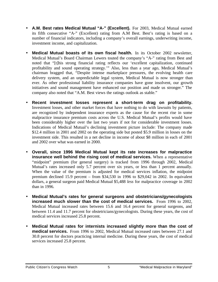- **A.M. Best rates Medical Mutual "A-" (Excellent).** For 2003, Medical Mutual earned its fifth consecutive "A-" (Excellent) rating from A.M Best. Best's rating is based on a number of financial indicators, including a company's overall earnings, underwriting income, investment income, and capitalization.
- **Medical Mutual boasts of its own fiscal health.** In its October 2002 newsletter, Medical Mutual's Board Chairman Lewers touted the company's "A-" rating from Best and noted that "[t]his strong financial rating reflects our 'excellent capitalization, continued profitability and sound operating strategy.'" Also, less than a year ago, Medical Mutual's chairman bragged that, "Despite intense marketplace pressures, the evolving health care delivery system, and an unpredictable legal system, Medical Mutual is now stronger than ever. As other professional liability insurance companies have gone insolvent, our growth initiatives and sound management have enhanced our position and made us stronger." The company also noted that "A.M. Best views the ratings outlook as stable."
- **Recent investment losses represent a short-term drag on profitability.** Investment losses, and other market forces that have nothing to do with lawsuits by patients, are recognized by independent insurance experts as the cause for the recent rise in some malpractice insurance premium costs across the U.S. Medical Mutual's profits would have been considerably higher over the last two years if not for considerable investment losses. Indications of Medical Mutual's declining investment picture include: The company made \$12.4 million in 2001 and 2002 on the operating side but posted \$5.9 million in losses on the investment side. This resulted in a net decline in income of about \$8 million in each of 2001 and 2002 over what was earned in 2000.
- **Overall, since 1996 Medical Mutual kept its rate increases for malpractice insurance well behind the rising cost of medical services.** When a representative "midpoint" premium (for general surgery) is tracked from 1996 through 2002, Medical Mutual's rates increased only 5.7 percent over six years, or less than 1 percent annually. When the value of the premium is adjusted for medical services inflation, the midpoint premium declined 15.9 percent – from \$34,530 in 1996 to \$29,042 in 2002. In equivalent dollars, a general surgeon paid Medical Mutual \$5,488 *less* for malpractice coverage in 2002 than in 1996.
- **Medical Mutual's rates for general surgeons and obstetricians/gynecologists increased much slower than the cost of medical services.** From 1996 to 2002, Medical Mutual increased rates between 15.6 and 16.4 percent for general surgeons, and between 11.4 and 11.7 percent for obstetricians/gynecologists. During these years, the cost of medical services increased 25.8 percent.
- **Medical Mutual rates for internists increased slightly more than the cost of medical services.** From 1996 to 2002, Medical Mutual increased rates between 27.1 and 30.8 percent for doctors practicing internal medicine. During these years, the cost of medical services increased 25.8 percent.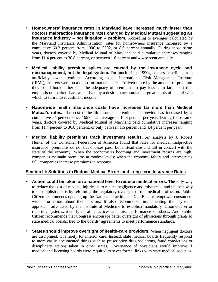- **Homeowners' insurance rates in Maryland have increased much faster than doctors malpractice insurance rates charged by Medical Mutual suggesting an insurance industry – not litigation – problem.** According to averages calculated by the Maryland Insurance Administration, rates for homeowners insurance increased by a cumulative 60.2 percent from 1996 to 2002, or 8.6 percent annually. During those same years, doctors covered by Medical Mutual of Maryland paid cumulative increases ranging from 11.4 percent to 30.8 percent, or between 1.6 percent and 4.4 percent annually.
- **Medical liability premium spikes are caused by the insurance cycle and mismanagement, not the legal system.** For much of the 1990s, doctors benefited from artificially lower premiums. According to the International Risk Management Institute (IRMI), insurers were on a quest for market share – "driven more by the amount of premium they could book rather than the adequacy of premiums to pay losses. In large part this emphasis on market share was driven by a desire to accumulate large amounts of capital with which to turn into investment income."
- **Nationwide health insurance costs have increased far more than Medical Mutual's rates.** The cost of health insurance premiums nationwide has increased by a cumulative 54 percent since 1997 – an average of 10.8 percent per year. During those same years, doctors covered by Medical Mutual of Maryland paid cumulative increases ranging from 11.4 percent to 30.8 percent, or only between 1.6 percent and 4.4 percent per year.
- **Medical liability premiums track investment results.** An analysis by J. Robert Hunter of the Consumer Federation of America found that rates for medical malpractice insurance premiums do not track losses paid, but instead rise and fall in concert with the state of the economy. When the economy is booming and investment returns are high, companies maintain premiums at modest levels; when the economy falters and interest rates fall, companies increase premiums in response.

#### **Section III: Solutions to Reduce Medical Errors and Long-term Insurance Rates**

- **Action could be taken on a national level to reduce medical errors.** The only way to reduce the cost of medical injuries is to reduce negligence and mistakes – and the best way to accomplish this is by reforming the regulatory oversight of the medical profession. Public Citizen recommends opening up the National Practitioner Data Bank to empower consumers with information about their doctors. It also recommends implementing the "systems" approach" advocated by the Institute of Medicine to establish mandatory nationwide error reporting systems, identify unsafe practices and raise performance standards. And Public Citizen recommends that Congress encourage better oversight of physicians through grants to state medical boards, tied to the boards' agreements to meet performance standards.
- **States should improve oversight of health-care providers.** When negligent doctors are disciplined, it is rarely for inferior care. Instead, state medical boards frequently respond to more easily documented things such as prescription drug violations, fraud convictions or disciplinary actions taken in other states. Governance of physicians would improve if medical and licensing boards were required to sever formal links with state medical societies.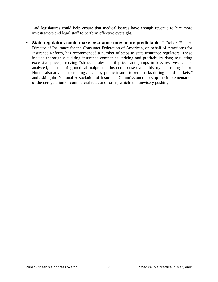And legislatures could help ensure that medical boards have enough revenue to hire more investigators and legal staff to perform effective oversight.

• **State regulators could make insurance rates more predictable.** J. Robert Hunter, Director of Insurance for the Consumer Federation of American, on behalf of Americans for Insurance Reform, has recommended a number of steps to state insurance regulators. These include thoroughly auditing insurance companies' pricing and profitability data; regulating excessive prices; freezing "stressed rates" until prices and jumps in loss reserves can be analyzed; and requiring medical malpractice insurers to use claims history as a rating factor. Hunter also advocates creating a standby public insurer to write risks during "hard markets," and asking the National Association of Insurance Commissioners to stop the implementation of the deregulation of commercial rates and forms, which it is unwisely pushing.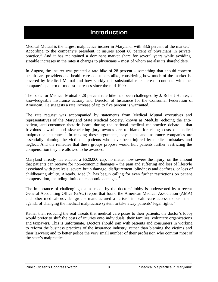# **Introduction**

Medical Mutual is the largest malpractice insurer in Maryland, with 33.6 percent of the market.<sup>1</sup> According to the company's president, it insures about 80 percent of physicians in private practice.<sup>2</sup> And it has maintained a dominant market share for several years while avoiding sizeable increases in the rates it charges to physicians – most of whom are also its shareholders.

In August, the insurer was granted a rate hike of 28 percent – something that should concern health care providers and health care consumers alike, considering how much of the market is covered by Medical Mutual and how starkly this substantial rate increase contrasts with the company's pattern of modest increases since the mid-1990s.

The basis for Medical Mutual's 28 percent rate hike has been challenged by J. Robert Hunter, a knowledgeable insurance actuary and Director of Insurance for the Consumer Federation of American. He suggests a rate increase of up to five percent is warranted.

The rate request was accompanied by statements from Medical Mutual executives and representatives of the Maryland State Medical Society, known as MedChi, echoing the antipatient, anti-consumer rhetoric heard during the national medical malpractice debate – that frivolous lawsuits and skyrocketing jury awards are to blame for rising costs of medical malpractice insurance.<sup>3</sup> In making these arguments, physicians and insurance companies are essentially blaming the victims – patients who have been injured by medical mistakes and neglect. And the remedies that these groups propose would hurt patients further, restricting the compensation they are allowed to be awarded.

Maryland already has enacted a \$620,000 cap, no matter how severe the injury, on the amount that patients can receive for non-economic damages – the pain and suffering and loss of lifestyle associated with paralysis, severe brain damage, disfigurement, blindness and deafness, or loss of childbearing ability. Already, MedChi has begun calling for even further restrictions on patient compensation, including limits on economic damages.<sup>4</sup>

The importance of challenging claims made by the doctors' lobby is underscored by a recent General Accounting Office (GAO) report that found the American Medical Association (AMA) and other medical-provider groups manufactured a "crisis" in health-care access to push their agenda of changing the medical malpractice system to take away patients' legal rights.<sup>5</sup>

Rather than reducing the real threats that medical care poses to their patients, the doctor's lobby would prefer to shift the costs of injuries onto individuals, their families, voluntary organizations and taxpayers. This is unfortunate. Doctors should join with patients and consumers in working to reform the business practices of the insurance industry, rather than blaming the victims and their lawyers; and to better police the very small number of their profession who commit most of the state's malpractice.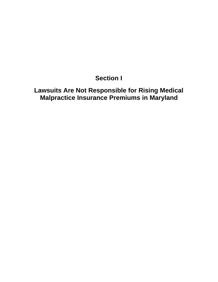# **Section I**

# **Lawsuits Are Not Responsible for Rising Medical Malpractice Insurance Premiums in Maryland**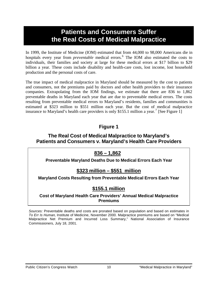### **Patients and Consumers Suffer the Real Costs of Medical Malpractice**

In 1999, the Institute of Medicine (IOM) estimated that from 44,000 to 98,000 Americans die in hospitals every year from *preventable* medical errors.<sup>6</sup> The IOM also estimated the costs to individuals, their families and society at large for these medical errors at \$17 billion to \$29 billion a year. These costs include disability and health-care costs, lost income, lost household production and the personal costs of care.

The true impact of medical malpractice in Maryland should be measured by the cost to patients and consumers, not the premiums paid by doctors and other health providers to their insurance companies. Extrapolating from the IOM findings, we estimate that there are 836 to 1,862 preventable deaths in Maryland each year that are due to preventable medical errors. The costs resulting from preventable medical errors to Maryland's residents, families and communities is estimated at \$323 million to \$551 million each year. But the cost of medical malpractice insurance to Maryland's health care providers is only \$155.1 million a year.<sup>7</sup> [See Figure 1]

### **Figure 1**

### **The Real Cost of Medical Malpractice to Maryland's Patients and Consumers v. Maryland's Health Care Providers**

### **836 – 1,862**

#### **Preventable Maryland Deaths Due to Medical Errors Each Year**

### **\$323 million – \$551 million**

**Maryland Costs Resulting from Preventable Medical Errors Each Year**

### **\$155.1 million**

#### **Cost of Maryland Health Care Providers' Annual Medical Malpractice Premiums**

*Sources:* Preventable deaths and costs are prorated based on population and based on estimates in *To Err Is Human*, Institute of Medicine, November 2000. Malpractice premiums are based on "Medical Malpractice Net Premium and Incurred Loss Summary," National Association of Insurance Commissioners, July 18, 2001.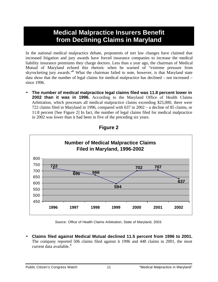# **Medical Malpractice Insurers Benefit from Declining Claims in Maryland**

In the national medical malpractice debate, proponents of tort law changes have claimed that increased litigation and jury awards have forced insurance companies to increase the medical liability insurance premiums they charge doctors. Less than a year ago, the chairman of Medical Mutual of Maryland echoed this rhetoric when he warned of "extreme pressure from skyrocketing jury awards."<sup>8</sup> What the chairman failed to note, however, is that Maryland state data show that the number of legal claims for medical malpractice has declined – not increased – since 1996.

• **The number of medical malpractice legal claims filed was 11.8 percent lower in 2002 than it was in 1996.** According to the Maryland Office of Health Claims Arbitration, which processes all medical malpractice claims exceeding \$25,000, there were 722 claims filed in Maryland in 1996, compared with 637 in 2002 – a decline of 85 claims, or 11.8 percent [See Figure 2] In fact, the number of legal claims filed for medical malpractice in 2002 was lower than it had been in five of the preceding six years.



**Figure 2**

*Source:* Office of Health Claims Arbitration, State of Maryland, 2003.

• **Claims filed against Medical Mutual declined 11.5 percent from 1996 to 2001.** The company reported 506 claims filed against it 1996 and 448 claims in 2001, the most current data available.<sup>9</sup>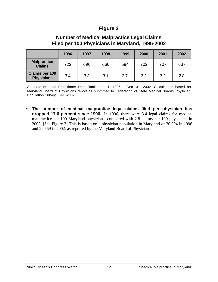### **Number of Medical Malpractice Legal Claims Filed per 100 Physicians in Maryland, 1996-2002**

|                                     | 1996 | 1997 | 1998 | 1999 | 2000 | 2001 | 2002 |
|-------------------------------------|------|------|------|------|------|------|------|
| <b>Malpractice</b><br><b>Claims</b> | 722  | 696  | 666  | 594  | 702  | 707  | 637  |
| Claims per 100<br><b>Physicians</b> | 3.4  | 3.3  | 3.1  | 2.7  | 3.2  | 3.2  | 2.8  |

*Sources:* National Practitioner Data Bank, Jan. 1, 1996 – Dec. 31, 2002. Calculations based on Maryland Board of Physicians report as submitted to Federation of State Medical Boards Physician Population Survey, 1996-2002.

• **The number of medical malpractice legal claims filed per physician has dropped 17.6 percent since 1996.** In 1996, there were 3.4 legal claims for medical malpractice per 100 Maryland physicians, compared with 2.8 claims per 100 physicians in 2002. [See Figure 3] This is based on a physician population in Maryland of 20,994 in 1996 and 22,559 in 2002, as reported by the Maryland Board of Physicians.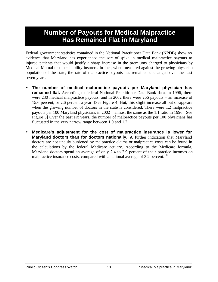# **Number of Payouts for Medical Malpractice Has Remained Flat in Maryland**

Federal government statistics contained in the National Practitioner Data Bank (NPDB) show no evidence that Maryland has experienced the sort of spike in medical malpractice payouts to injured patients that would justify a sharp increase in the premiums charged to physicians by Medical Mutual or other liability insurers. In fact, when measured against the growing physician population of the state, the rate of malpractice payouts has remained unchanged over the past seven years.

- **The number of medical malpractice payouts per Maryland physician has remained flat.** According to federal National Practitioner Data Bank data, in 1996, there were 230 medical malpractice payouts, and in 2002 there were 266 payouts – an increase of 15.6 percent, or 2.6 percent a year. [See Figure 4] But, this slight increase all but disappears when the growing number of doctors in the state is considered. There were 1.2 malpractice payouts per 100 Maryland physicians in 2002 – almost the same as the 1.1 ratio in 1996. [See Figure 5] Over the past six years, the number of malpractice payouts per 100 physicians has fluctuated in the very narrow range between 1.0 and 1.2.
- **Medicare's adjustment for the cost of malpractice insurance is lower for Maryland doctors than for doctors nationally.** A further indication that Maryland doctors are not unduly burdened by malpractice claims or malpractice costs can be found in the calculations by the federal Medicare actuary. According to the Medicare formula, Maryland doctors spend an average of only 2.4 to 2.9 percent of their practice incomes on malpractice insurance costs, compared with a national average of 3.2 percent.<sup>10</sup>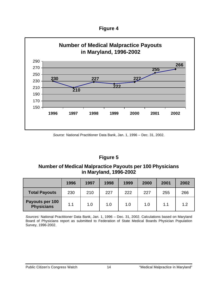**Figure 4**



*Source:* National Practitioner Data Bank, Jan. 1, 1996 – Dec. 31, 2002.

### **Figure 5**

### **Number of Medical Malpractice Payouts per 100 Physicians in Maryland, 1996-2002**

|                                      | 1996 | 1997 | 1998 | 1999 | 2000 | 2001 | 2002 |
|--------------------------------------|------|------|------|------|------|------|------|
| <b>Total Payouts</b>                 | 230  | 210  | 227  | 222  | 227  | 255  | 266  |
| Payouts per 100<br><b>Physicians</b> | 1.1  | 1.0  | 1.0  | 1.0  | 1.0  | 1.1  | 1.2  |

*Sources:* National Practitioner Data Bank, Jan. 1, 1996 – Dec. 31, 2002. Calculations based on Maryland Board of Physicians report as submitted to Federation of State Medical Boards Physician Population Survey, 1996-2002.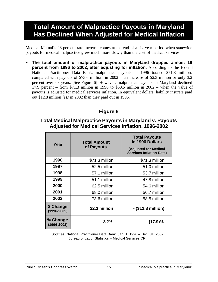# **Total Amount of Malpractice Payouts in Maryland Has Declined When Adjusted for Medical Inflation**

Medical Mutual's 28 percent rate increase comes at the end of a six-year period when statewide payouts for medical malpractice grew much more slowly than the cost of medical services.

• **The total amount of malpractice payouts in Maryland dropped almost 18 percent from 1996 to 2002, after adjusting for inflation.** According to the federal National Practitioner Data Bank, malpractice payouts in 1996 totaled \$71.3 million, compared with payouts of \$73.6 million in 2002 – an increase of \$2.3 million or only 3.2 percent over six years. [See Figure 6] However, malpractice payouts in Maryland declined 17.9 percent – from \$71.3 million in 1996 to \$58.5 million in 2002 – when the value of payouts is adjusted for medical services inflation. In equivalent dollars, liability insurers paid out \$12.8 million *less* in 2002 than they paid out in 1996.

### **Figure 6**

### **Total Medical Malpractice Payouts in Maryland v. Payouts Adjusted for Medical Services Inflation, 1996-2002**

| Year                         | <b>Total Amount</b><br>of Payouts | <b>Total Payouts</b><br>in 1996 Dollars<br>(Adjusted for Medical<br><b>Services Inflation Rate)</b> |
|------------------------------|-----------------------------------|-----------------------------------------------------------------------------------------------------|
| 1996                         | \$71.3 million                    | \$71.3 million                                                                                      |
| 1997                         | 52.5 million                      | 51.0 million                                                                                        |
| 1998                         | 57.1 million                      | 53.7 million                                                                                        |
| 1999                         | 51.1 million                      | 47.8 million                                                                                        |
| 2000                         | 62.5 million                      | 54.6 million                                                                                        |
| 2001                         | 68.0 million                      | 56.7 million                                                                                        |
| 2002                         | 73.6 million                      | 58.5 million                                                                                        |
| \$ Change<br>$(1996 - 2002)$ | \$2.3 million                     | $-($12.8 million)$                                                                                  |
| % Change<br>$(1996 - 2002)$  | 3.2%                              | - (17.9)%                                                                                           |

*Sources:* National Practitioner Data Bank, Jan. 1, 1996 – Dec. 31, 2002. Bureau of Labor Statistics – Medical Services CPI.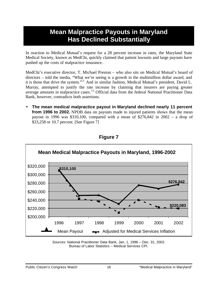# **Mean Malpractice Payouts in Maryland Has Declined Substantially**

In reaction to Medical Mutual's request for a 28 percent increase in rates, the Maryland State Medical Society, known as MedChi, quickly claimed that patient lawsuits and large payouts have pushed up the costs of malpractice insurance.

MedChi's executive director, T. Michael Preston – who also sits on Medical Mutual's board of directors – told the media, "What we're seeing is a growth in the multimillion dollar award, and it is those that drive the system."<sup>11</sup> And in similar fashion, Medical Mutual's president, David L. Murray, attempted to justify the rate increase by claiming that insurers are paying greater average amounts in malpractice cases.<sup>12</sup> Official data from the federal National Practitioner Data Bank, however, contradicts both assertions.

• **The mean medical malpractice payout in Maryland declined nearly 11 percent from 1996 to 2002.** NPDB data on payouts made to injured patients shows that the mean payout in 1996 was \$310,100, compared with a mean of \$276,842 in  $2002 - a$  drop of \$33,258 or 10.7 percent. [See Figure 7]



### **Figure 7**

*Sources:* National Practitioner Data Bank, Jan. 1, 1996 – Dec. 31, 2002. Bureau of Labor Statistics – Medical Services CPI.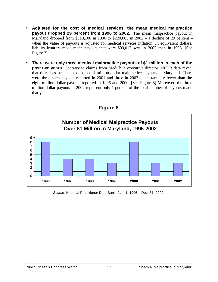- **Adjusted for the cost of medical services, the mean medical malpractice payout dropped 29 percent from 1996 to 2002.** The mean malpractice payout in Maryland dropped from \$310,100 in 1996 to \$220,083 in 2002 – a decline of 29 percent – when the value of payouts is adjusted for medical services inflation. In equivalent dollars, liability insurers made mean payouts that were \$90,017 *less* in 2002 than in 1996. [See Figure 7]
- **There were only three medical malpractice payouts of \$1 million in each of the past two years.** Contrary to claims from MedChi's executive director, NPDB data reveal that there has been no explosion of million-dollar malpractice payouts in Maryland. There were three such payouts reported in 2001 and three in 2002 – substantially fewer than the eight million-dollar payouts reported in 1996 and 2000. [See Figure 8] Moreover, the three million-dollar payouts in 2002 represent only 1 percent of the total number of payouts made that year.



*Source:* National Practitioner Data Bank, Jan. 1, 1996 – Dec. 31, 2002.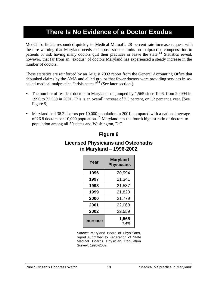# **There Is No Evidence of a Doctor Exodus**

MedChi officials responded quickly to Medical Mutual's 28 percent rate increase request with the dire warning that Maryland needs to impose stricter limits on malpractice compensation to patients or risk having many doctors quit their practices or leave the state.<sup>13</sup> Statistics reveal, however, that far from an "exodus" of doctors Maryland has experienced a steady increase in the number of doctors.

These statistics are reinforced by an August 2003 report from the General Accounting Office that debunked claims by the AMA and allied groups that fewer doctors were providing services in socalled medical malpractice "crisis states."<sup>14</sup> (See later section.)

- The number of resident doctors in Maryland has jumped by 1,565 since 1996, from 20,994 in 1996 to 22,559 in 2001. This is an overall increase of 7.5 percent, or 1.2 percent a year. [See Figure 9]
- Maryland had 38.2 doctors per 10,000 population in 2001, compared with a national average of 26.8 doctors per 10,000 population.<sup>15</sup> Maryland has the fourth highest ratio of doctors-topopulation among all 50 states and Washington, D.C.

### **Figure 9**

#### **Licensed Physicians and Osteopaths in Maryland – 1996-2002**

| Year            | <b>Maryland</b><br>Physicians |
|-----------------|-------------------------------|
| 1996            | 20,994                        |
| 1997            | 21,341                        |
| 1998            | 21,537                        |
| 1999            | 21,820                        |
| 2000            | 21,779                        |
| 2001            | 22,068                        |
| 2002            | 22,559                        |
| <b>Increase</b> | 1,565<br>7.4%                 |

*Source:* Maryland Board of Physicians, report submitted to Federation of State Medical Boards Physician Population Survey, 1996-2002.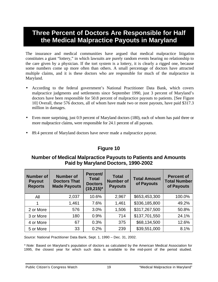# **Three Percent of Doctors Are Responsible for Half the Medical Malpractice Payouts in Maryland**

The insurance and medical communities have argued that medical malpractice litigation constitutes a giant "lottery," in which lawsuits are purely random events bearing no relationship to the care given by a physician. If the tort system is a lottery, it is clearly a rigged one, because some numbers come up more often than others. A small percentage of doctors have attracted multiple claims, and it is these doctors who are responsible for much of the malpractice in Maryland.

- According to the federal government's National Practitioner Data Bank, which covers malpractice judgments and settlements since September 1990, just 3 percent of Maryland's doctors have been responsible for 50.8 percent of malpractice payouts to patients. [See Figure 10] Overall, these 576 doctors, all of whom have made two or more payouts, have paid \$317.3 million in damages.
- Even more surprising, just 0.9 percent of Maryland doctors (180), each of whom has paid three or more malpractice claims, were responsible for 24.1 percent of all payouts.
- 89.4 percent of Maryland doctors have never made a malpractice payout.

### **Figure 10**

### **Number of Medical Malpractice Payouts to Patients and Amounts Paid by Maryland Doctors, 1990-2002**

| <b>Number of</b><br><b>Payout</b><br><b>Reports</b> | <b>Number of</b><br><b>Doctors That</b><br><b>Made Payouts</b> | Percent/<br><b>Total</b><br><b>Doctors</b><br>$(19,215)^*$ | <b>Total</b><br><b>Number of</b><br><b>Payouts</b> | <b>Total Amount</b><br>of Payouts | <b>Percent of</b><br><b>Total Number</b><br>of Payouts |
|-----------------------------------------------------|----------------------------------------------------------------|------------------------------------------------------------|----------------------------------------------------|-----------------------------------|--------------------------------------------------------|
| All                                                 | 2,037                                                          | 10.6%                                                      | 2,967                                              | \$653,453,300                     | 100.0%                                                 |
|                                                     | 1,461                                                          | 7.6%                                                       | 1,461                                              | \$336,185,800                     | 49.2%                                                  |
| 2 or More                                           | 576                                                            | 3.0%                                                       | 1,506                                              | \$317,267,500                     | 50.8%                                                  |
| 3 or More                                           | 180                                                            | 0.9%                                                       | 714                                                | \$137,701,550                     | 24.1%                                                  |
| 4 or More                                           | 67                                                             | 0.3%                                                       | 375                                                | \$68,134,500                      | 12.6%                                                  |
| 5 or More                                           | 33                                                             | 0.2%                                                       | 239                                                | \$39,551,000                      | 8.1%                                                   |

*Source:* National Practitioner Data Bank, Sept. 1, 1990 – Dec. 31, 2002.

*\* Note:* Based on Maryland's population of doctors as calculated by the American Medical Association for 1995, the closest year for which such data is available to the mid-point of the period studied.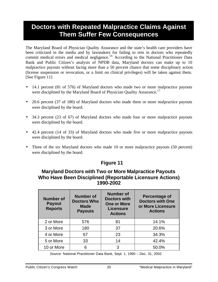# **Doctors with Repeated Malpractice Claims Against Them Suffer Few Consequences**

The Maryland Board of Physician Quality Assurance and the state's health care providers have been criticized in the media and by lawmakers for failing to rein in doctors who repeatedly commit medical errors and medical negligence.<sup>16</sup> According to the National Practitioner Data Bank and Public Citizen's analysis of NPDB data, Maryland doctors can make up to 10 malpractice payouts without facing more than a 50 percent chance that some disciplinary action (license suspension or revocation, or a limit on clinical privileges) will be taken against them. [See Figure 11]

- 14.1 percent (81 of 576) of Maryland doctors who made two or more malpractice payouts were disciplined by the Maryland Board of Physician Quality Assurance.<sup>17</sup>
- 20.6 percent (37 of 180) of Maryland doctors who made three or more malpractice payouts were disciplined by the board.
- 34.3 percent (23 of 67) of Maryland doctors who made four or more malpractice payouts were disciplined by the board.
- 42.4 percent (14 of 33) of Maryland doctors who made five or more malpractice payouts were disciplined by the board.
- Three of the six Maryland doctors who made 10 or more malpractice payouts (50 percent) were disciplined by the board.

### **Figure 11**

### **Maryland Doctors with Two or More Malpractice Payouts Who Have Been Disciplined (Reportable Licensure Actions) 1990-2002**

| <b>Number of</b><br><b>Payout</b><br><b>Reports</b> | <b>Number of</b><br><b>Doctors Who</b><br><b>Made</b><br><b>Payouts</b> | <b>Number of</b><br><b>Doctors with</b><br><b>One or More</b><br><b>Licensure</b><br><b>Actions</b> | Percentage of<br><b>Doctors with One</b><br>or More Licensure<br><b>Actions</b> |
|-----------------------------------------------------|-------------------------------------------------------------------------|-----------------------------------------------------------------------------------------------------|---------------------------------------------------------------------------------|
| 2 or More                                           | 576                                                                     | 81                                                                                                  | 14.1%                                                                           |
| 3 or More                                           | 180                                                                     | 37                                                                                                  | 20.6%                                                                           |
| 4 or More                                           | 67                                                                      | 23                                                                                                  | 34.3%                                                                           |
| 5 or More                                           | 33                                                                      | 14                                                                                                  | 42.4%                                                                           |
| 10 or More                                          | 6                                                                       | 3                                                                                                   | 50.0%                                                                           |

*Source:* National Practitioner Data Bank, Sept. 1, 1990 – Dec. 31, 2002.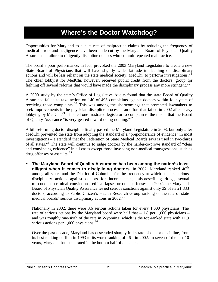# **Where's the Doctor Watchdog?**

Opportunities for Maryland to cut its rate of malpractice claims by reducing the frequency of medical errors and negligence have been undercut by the Maryland Board of Physician Quality Assurance's failure to diligently discipline doctors who commit repeated malpractice.

The board's poor performance, in fact, provoked the 2003 Maryland Legislature to create a new State Board of Physicians that will have slightly wider latitude in deciding on disciplinary actions and will be less reliant on the state medical society, MedChi, to perform investigations.<sup>18</sup> The chief lobbyist for MedChi, however, received public credit from the doctors' group for fighting off several reforms that would have made the disciplinary process any more stringent.<sup>19</sup>

A 2000 study by the state's Office of Legislative Audits found that the state Board of Quality Assurance failed to take action on 140 of 493 complaints against doctors within four years of receiving those complaints.<sup>20</sup> This was among the shortcomings that prompted lawmakers to seek improvements in the physician discipline process – an effort that failed in 2002 after heavy lobbying by MedChi.<sup>21</sup> This led one frustrated legislator to complain to the media that the Board of Quality Assurance "is very geared toward doing nothing."<sup>22</sup>

A bill reforming doctor discipline finally passed the Maryland Legislature in 2003, but only after MedChi prevented the state from adopting the standard of a "preponderance of evidence" in most investigations – a standard that the Federation of State Medical Boards says is used in two-thirds of all states.<sup>23</sup> The state will continue to judge doctors by the harder-to-prove standard of "clear" and convincing evidence" in all cases except those involving non-medical transgressions, such as drug offenses or assaults.<sup>24</sup>

• **The Maryland Board of Quality Assurance has been among the nation's least diligent when it comes to disciplining doctors.** In 2002, Maryland ranked 46<sup>th</sup> among all states and the District of Columbia for the frequency at which it takes serious disciplinary actions against doctors for incompetence, misprescribing drugs, sexual misconduct, criminal convictions, ethical lapses or other offenses. In 2002, the Maryland Board of Physician Quality Assurance levied serious sanctions against only 39 of its 21,833 doctors, according to Public Citizen's Health Research Group ranking of the rate of state medical boards' serious disciplinary actions in  $2002$ <sup>25</sup>

Nationally in 2002, there were 3.6 serious actions taken for every 1,000 physicians. The rate of serious actions by the Maryland board were half that  $-1.8$  per 1,000 physicians  $$ and was roughly one-sixth of the rate in Wyoming, which is the top-ranked state with 11.9 serious actions per  $1,000$  physicians.<sup>26</sup>

Over the past decade, Maryland has descended sharply in its rate of doctor discipline, from its best ranking of 19th in 1993 to its worst ranking of  $46<sup>th</sup>$  in 2002. In seven of the last 10 years, Maryland has been rated in the bottom half of all states.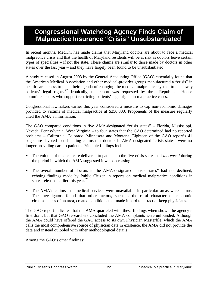# **Congressional Watchdog Agency Finds Claim of Malpractice Insurance "Crisis" Unsubstantiated**

In recent months, MedChi has made claims that Maryland doctors are about to face a medical malpractice crisis and that the health of Maryland residents will be at risk as doctors leave certain types of specialties – if not the state. These claims are similar to those made by doctors in other states over the last year – and they have largely been found to be unsubstantiated.

A study released in August 2003 by the General Accounting Office (GAO) essentially found that the American Medical Association and other medical-provider groups manufactured a "crisis" in health-care access to push their agenda of changing the medical malpractice system to take away patients' legal rights.<sup>27</sup> Ironically, the report was requested by three Republican House committee chairs who support restricting patients' legal rights in malpractice cases.

Congressional lawmakers earlier this year considered a measure to cap non-economic damages provided to victims of medical malpractice at \$250,000. Proponents of the measure regularly cited the AMA's information.

The GAO compared conditions in five AMA-designated "crisis states" – Florida, Mississippi, Nevada, Pennsylvania, West Virginia – to four states that the GAO determined had no reported problems – California, Colorado, Minnesota and Montana. Eighteen of the GAO report's 41 pages are devoted to debunking claims that doctors in AMA-designated "crisis states" were no longer providing care to patients. Principle findings include:

- The volume of medical care delivered to patients in the five crisis states had *increased* during the period in which the AMA suggested it was decreasing.
- The overall number of doctors in the AMA-designated "crisis states" had not declined, echoing findings made by Public Citizen in reports on medical malpractice conditions in states released earlier this year.  $28$
- The AMA's claims that medical services were unavailable in particular areas were untrue. The investigators found that other factors, such as the rural character or economic circumstances of an area, created conditions that made it hard to attract or keep physicians.

The GAO report indicates that the AMA quarreled with these findings when shown the agency's first draft, but that GAO researchers concluded the AMA complaints were unfounded. Although the AMA could have offered the GAO access to its own Physician Masterfile, which the AMA calls the most comprehensive source of physician data in existence, the AMA did not provide the data and instead quibbled with other methodological details.

Among the GAO's other findings: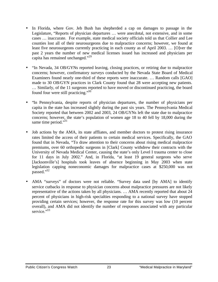- In Florida, where Gov. Jeb Bush has shepherded a cap on damages to passage in the Legislature, "Reports of physician departures … were anecdotal, not extensive, and in some cases … inaccurate. For example, state medical society officials told us that Collier and Lee counties lost all of their neurosurgeons due to malpractice concerns; however, we found at least five neurosurgeons currently practicing in each county as of April 2003. … [O]ver the past 2 years the number of new medical licenses issued has increased and physicians per capita has remained unchanged."<sup>29</sup>
- "In Nevada, 34 OB/GYNs reported leaving, closing practices, or retiring due to malpractice concerns; however, confirmatory surveys conducted by the Nevada State Board of Medical Examiners found nearly one-third of these reports were inaccurate. … Random calls [GAO] made to 30 OB/GYN practices in Clark County found that 28 were accepting new patients. … Similarly, of the 11 surgeons reported to have moved or discontinued practicing, the board found four were still practicing."<sup>30</sup>
- "In Pennsylvania, despite reports of physician departures, the number of physicians per capita in the state has increased slightly during the past six years. The Pennsylvania Medical Society reported that between 2002 and 2003, 24 OB/GYNs left the state due to malpractice concerns; however, the state's population of women age 18 to 40 fell by 18,000 during the same time period." $31$
- Job actions by the AMA, its state affliates, and member doctors to protest rising insurance rates limited the access of their patients to certain medical services. Specifically, the GAO found that in Nevada, "To draw attention to their concerns about rising medical malpractice premiums, over 60 orthopedic surgeons in [Clark] County withdrew their contracts with the University of Nevada Medical Center, causing the state's only Level I trauma center to close for 11 days in July 2002." And, in Florida, "at least 19 general surgeons who serve [Jacksonville's] hospitals took leaves of absence beginning in May 2003 when state legislation capping noneconomic damages for malpractice cases at \$250,000 was not passed."<sup>32</sup>
- AMA "surveys" of doctors were not reliable. "Survey data used [by AMA] to identify service cutbacks in response to physician concerns about malpractice pressures are not likely representative of the actions taken by all physicians. … AMA recently reported that about 24 percent of physicians in high-risk specialties responding to a national survey have stopped providing certain services; however, the response rate for this survey was low (10 percent overall), and AMA did not identify the number of responses associated with any particular service."<sup>33</sup>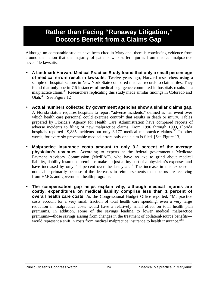# **Rather than Facing "Runaway Litigation," Doctors Benefit from a Claims Gap**

Although no comparable studies have been cited in Maryland, there is convincing evidence from around the nation that the majority of patients who suffer injuries from medical malpractice never file lawsuits.

- **A landmark Harvard Medical Practice Study found that only a small percentage of medical errors result in lawsuits.** Twelve years ago, Harvard researchers using a sample of hospitalizations in New York State compared medical records to claims files. They found that only one in 7.6 instances of medical negligence committed in hospitals results in a malpractice claim.<sup>34</sup> Researchers replicating this study made similar findings in Colorado and Utah.<sup>35</sup> [See Figure 12]
- **Actual numbers collected by government agencies show a similar claims gap.** A Florida statute requires hospitals to report "adverse incidents," defined as "an event over which health care personnel could exercise control" that results in death or injury. Tables prepared by Florida's Agency for Health Care Administration have compared reports of adverse incidents to filing of new malpractice claims. From 1996 through 1999, Florida hospitals reported 19,885 incidents but only 3,177 medical malpractice claims.<sup>36</sup> In other words, for every six preventable medical errors only one claim is filed. [See Figure 13]
- **Malpractice insurance costs amount to only 3.2 percent of the average physician's revenues.** According to experts at the federal government's Medicare Payment Advisory Commission (MedPAC), who have no axe to grind about medical liability, liability insurance premiums make up just a tiny part of a physician's expenses and have increased by only 4.4 percent over the last year.<sup>37</sup> The increase in this expense is noticeable primarily because of the decreases in reimbursements that doctors are receiving from HMOs and government health programs.
- **The compensation gap helps explain why, although medical injuries are costly, expenditures on medical liability comprise less than 1 percent of overall health care costs.** As the Congressional Budget Office reported, "Malpractice costs account for a very small fraction of total health care spending; even a very large reduction in malpractice costs would have a relatively small effect on total health plan premiums. In addition, some of the savings leading to lower medical malpractice premiums—those savings arising from changes in the treatment of collateral-source benefits would represent a shift in costs from medical malpractice insurance to health insurance.<sup>338</sup>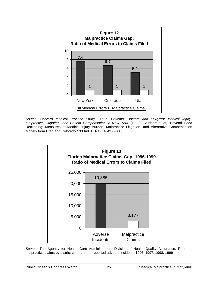

*Source:* Harvard Medical Practice Study Group, *Patients, Doctors and Lawyers: Medical Injury, Malpractice Litigation, and Patient Compensation in New York* (1990); Studdert et al, "Beyond Dead Reckoning: Measures of Medical Injury Burden, Malpractice Litigation, and Alternative Compensation Models from Utah and Colorado," 33 Ind. L. Rev. 1643 (2000).



*Source:* The Agency for Health Care Administration, Division of Health Quality Assurance. Reported malpractice claims by district compared to reported adverse incidents 1996, 1997, 1998, 1999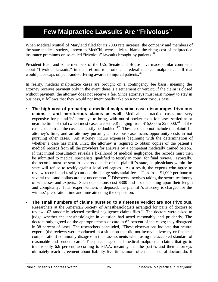# **Few Malpractice Lawsuits Are "Frivolous"**

When Medical Mutual of Maryland filed for its 2003 rate increase, the company and members of the state medical society, known as MedChi, were quick to blame the rising cost of malpractice insurance premiums on so-called "frivolous" lawsuits brought by patients.<sup>39</sup>

President Bush and some members of the U.S. Senate and House have made similar comments about "frivolous lawsuits" in their efforts to promote a federal medical malpractice bill that would place caps on pain-and-suffering awards to injured patients.<sup>40</sup>

In reality, medical malpractice cases are brought on a contingency fee basis, meaning the attorney receives payment only in the event there is a settlement or verdict. If the claim is closed without payment, the attorney does not receive a fee. Since attorneys must earn money to stay in business, it follows that they would not intentionally take on a non-meritorious case.

- **The high cost of preparing a medical malpractice case discourages frivolous claims – and meritorious claims as well.** Medical malpractice cases are very expensive for plaintiffs' attorneys to bring, with out-of-pocket costs for cases settled at or near the time of trial (when most cases are settled) ranging from \$15,000 to \$25,000.<sup>41</sup> If the case goes to trial, the costs can easily be doubled.<sup>42</sup> These costs do not include the plaintiff's attorney's time, and an attorney pursuing a frivolous case incurs opportunity costs in not pursuing other cases. An attorney incurs expenses beginning with the determination of whether a case has merit. First, the attorney is required to obtain copies of the patient's medical records from all the providers for analysis by a competent medically trained person. If that initial consultation reveals a likelihood of medical negligence, the records must then be submitted to medical specialists, qualified to testify in court, for final review. Typically, the records must be sent to experts outside of the plaintiff's state, as physicians within the state will refuse to testify against local colleagues. As a result, the experts who agree to review records and testify can and do charge substantial fees. Fees from \$1,000 per hour to several thousand dollars are not uncommon.<sup>43</sup> Discovery involves taking the sworn testimony of witnesses and experts. Such depositions cost \$300 and up, depending upon their length and complexity. If an expert witness is deposed, the plaintiff's attorney is charged for the witness' preparation time and time attending the deposition.
- **The small numbers of claims pursued to a defense verdict are not frivolous.** Researchers at the American Society of Anesthesiologists arranged for pairs of doctors to review 103 randomly selected medical negligence claims files.<sup>44</sup> The doctors were asked to judge whether the anesthesiologist in question had acted reasonably and prudently. The doctors only agreed on the appropriateness of care in 62 percent of the cases; they disagreed in 38 percent of cases. The researchers concluded, "These observations indicate that neutral experts (the reviews were conducted in a situation that did not involve advocacy or financial compensation) commonly disagree in their assessments when using the accepted standard of reasonable and prudent care." The percentage of all medical malpractice claims that go to trial is only 6.6 percent, according to PIAA, meaning that the parties and their attorneys ultimately reach agreement about liability five times more often than neutral doctors do. If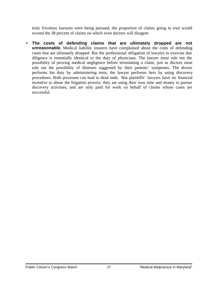truly frivolous lawsuits were being pursued, the proportion of claims going to trial would exceed the 38 percent of claims on which even doctors will disagree.

• **The costs of defending claims that are ultimately dropped are not unreasonable.** Medical liability insurers have complained about the costs of defending cases that are ultimately dropped. But the professional obligation of lawyers to exercise due diligence is essentially identical to the duty of physicians. The lawyer must rule out the possibility of proving medical negligence before terminating a claim, just as doctors must rule out the possibility of illnesses suggested by their patients' symptoms. The doctor performs his duty by administering tests; the lawyer performs hers by using discovery procedures. Both processes can lead to dead ends. But plaintiffs' lawyers have no financial incentive to abuse the litigation process: they are using their own time and money to pursue discovery activities, and are only paid for work on behalf of clients whose cases are successful.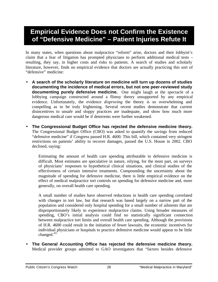# **Empirical Evidence Does not Confirm the Existence of "Defensive Medicine" – Patient Injuries Refute It**

In many states, when questions about malpractice "reform" arise, doctors and their lobbyist's claim that a fear of litigation has prompted physicians to perform additional medical tests – resulting, they say, in higher costs and risks to patients. A search of studies and scholarly literature, however, finds no empirical evidence that doctors are actually practicing this sort of "defensive" medicine:

- **A search of the scholarly literature on medicine will turn up dozens of studies documenting the incidence of medical errors, but not one peer-reviewed study documenting purely defensive medicine.** One might laugh at the spectacle of a lobbying campaign constructed around a flimsy theory unsupported by any empirical evidence. Unfortunately, the evidence *disproving* the theory is so overwhelming and compelling as to be truly frightening. Several recent studies demonstrate that current disincentives to unsafe and sloppy practices are inadequate, and show how much more dangerous medical care would be if deterrents were further weakened.
- **The Congressional Budget Office has rejected the defensive medicine theory.** The Congressional Budget Office (CBO) was asked to quantify the savings from reduced "defensive medicine" if Congress passed H.R. 4600. This bill, which contained very stringent restrictions on patients' ability to recover damages, passed the U.S. House in 2002. CBO declined, saying:

Estimating the amount of health care spending attributable to defensive medicine is difficult. Most estimates are speculative in nature, relying, for the most part, on surveys of physicians' responses to hypothetical clinical situations, and clinical studies of the effectiveness of certain intensive treatments. Compounding the uncertainty about the magnitude of spending for defensive medicine, there is little empirical evidence on the effect of medical malpractice tort controls on spending for defensive medicine and, more generally, on overall health care spending.

A small number of studies have observed reductions in health care spending correlated with changes in tort law, but that research was based largely on a narrow part of the population and considered only hospital spending for a small number of ailments that are disproportionately likely to experience malpractice claims. Using broader measures of spending, CBO's initial analysis could find no statistically significant connection between malpractice tort limits and overall health care spending. Although the provisions of H.R. 4600 could result in the initiation of fewer lawsuits, the economic incentives for individual physicians or hospitals to practice defensive medicine would appear to be little changed. $45$ 

• **The General Accounting Office has rejected the defensive medicine theory.** Medical provider groups admitted to GAO investigators that "factors besides defensive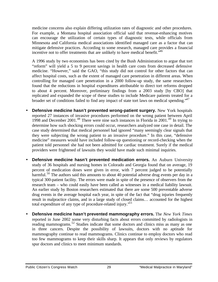medicine concerns also explain differing utilization rates of diagnostic and other procedures. For example, a Montana hospital association official said that revenue-enhancing motives can encourage the utilization of certain types of diagnostic tests, while officials from Minnesota and California medical associations identified managed care as a factor that can mitigate defensive practices. According to some research, managed care provides a financial incentive not to offer treatments that are unlikely to have medical benefit.<sup>46</sup>

A 1996 study by two economists has been cited by the Bush Administration to argue that tort "reform" will yield a 5 to 9 percent savings in health care costs from decreased defensive medicine. "However," said the GAO, "this study did not control for other factors that can affect hospital costs, such as the extent of managed care penetration in different areas. When controlling for managed care penetration in a 2000 follow-up study, the same researchers found that the reductions in hospital expenditures attributable to direct tort reforms dropped to about 4 percent. Moreover, preliminary findings from a 2003 study [by CBO] that replicated and expanded the scope of these studies to include Medicare patients treated for a broader set of conditions failed to find any impact of state tort laws on medical spending.<sup> $47$ </sup>

- **Defensive medicine hasn't prevented wrong-patient surgery.** New York hospitals reported 27 instances of invasive procedures performed on the wrong patient between April 1998 and December 2001.<sup>48</sup> There were nine such instances in Florida in 2001.<sup>49</sup> In trying to determine how such shocking errors could occur, researchers analyzed one case in detail. The case study determined that medical personnel had ignored "many seemingly clear signals that they were subjecting the wrong patient to an invasive procedure." In this case, "defensive medicine" measures would have included follow-up questioning or record-checking when the patient told personnel she had not been admitted for cardiac treatment. Surely if the medical providers were frightened of lawsuits they would have made such minimal inquiries.
- **Defensive medicine hasn't prevented medication errors.** An Auburn University study of 36 hospitals and nursing homes in Colorado and Georgia found that on average, 19 percent of medication doses were given in error, with 7 percent judged to be potentially harmful.<sup>50</sup> The authors said this amounts to about 40 potential adverse drug events per day in a typical 300-patient facility. The errors were made in spite of the presence of observers from the research team – who could easily have been called as witnesses in a medical liability lawsuit. An earlier study by Boston researchers estimated that there are some 500 preventable adverse drug events in the average hospital each year, in spite of the fact that "drug injuries frequently result in malpractice claims, and in a large study of closed claims… accounted for the highest total expenditure of any type of procedure-related injury.<sup>51</sup>
- **Defensive medicine hasn't prevented mammography errors.** The *New York Times* reported in June 2002 some very disturbing facts about errors committed by radiologists in reading mammograms.<sup>52</sup> Studies indicate that some doctors and clinics miss as many as one in three cancers. Despite the possibility of lawsuits, doctors with no aptitude for mammography continue to read mammograms. Clinics continue to employ doctors who read too few mammograms to keep their skills sharp. It appears that only reviews by regulators spur doctors and clinics to meet minimum standards.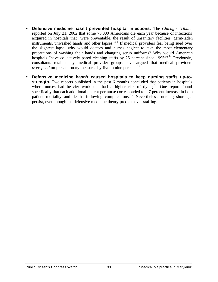- **Defensive medicine hasn't prevented hospital infections.** The *Chicago Tribune* reported on July 21, 2002 that some 75,000 Americans die each year because of infections acquired in hospitals that "were preventable, the result of unsanitary facilities, germ-laden instruments, unwashed hands and other lapses."<sup>53</sup> If medical providers fear being sued over the slightest lapse, why would doctors and nurses neglect to take the most elementary precautions of washing their hands and changing scrub uniforms? Why would American hospitals "have collectively pared cleaning staffs by 25 percent since  $1995"$ ?<sup>54</sup> Previously, consultants retained by medical provider groups have argued that medical providers *overspend* on precautionary measures by five to nine percent.<sup>55</sup>
- **Defensive medicine hasn't caused hospitals to keep nursing staffs up-tostrength.** Two reports published in the past 6 months concluded that patients in hospitals where nurses had heavier workloads had a higher risk of dying.<sup>56</sup> One report found specifically that each additional patient per nurse corresponded to a 7 percent increase in both patient mortality and deaths following complications.<sup>57</sup> Nevertheless, nursing shortages persist, even though the defensive medicine theory predicts over-staffing.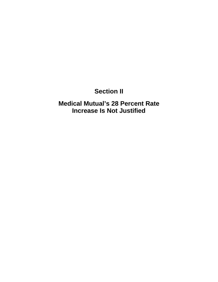# **Section II**

# **Medical Mutual's 28 Percent Rate Increase Is Not Justified**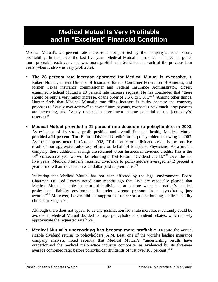# **Medical Mutual Is Very Profitable and in "Excellent" Financial Condition**

Medical Mutual's 28 percent rate increase is not justified by the company's recent strong profitability. In fact, over the last five years Medical Mutual's insurance business has gotten more profitable each year, and was more profitable in 2002 than in each of the previous four years (when it also was very profitable).

- **The 28 percent rate increase approved for Medical Mutual is excessive.** J. Robert Hunter, current Director of Insurance for the Consumer Federation of America, and former Texas insurance commissioner and Federal Insurance Administrator, closely examined Medical Mutual's 28 percent rate increase request. He has concluded that "there should be only a very minor increase, of the order of  $2.5\%$  to  $5.0\%$ ."<sup>58</sup> Among other things, Hunter finds that Medical Mutual's rate filing increase is faulty because the company proposes to "vastly over-reserve" to cover future payouts, overstates how much large payouts are increasing, and "vastly understates investment income potential of the [company's] reserves."
- **Medical Mutual provided a 21 percent rate discount to policyholders in 2003.** As evidence of its strong profit position and overall financial health, Medical Mutual provided a 21 percent "Tort Reform Dividend Credit" for all policyholders renewing in 2003. As the company noted in October 2002, "This tort reform dividend credit is the positive result of our aggressive advocacy efforts on behalf of Maryland Physicians. As a mutual company, these additional savings are returned to our Insureds in dividend credits. This is the  $14<sup>th</sup>$  consecutive year we will be returning a Tort Reform Dividend Credit.<sup>559</sup> Over the last five years, Medical Mutual's returned dividends to policyholders averaged 27.2 percent a year or more than 27 cents on each dollar paid in premiums.  $60$

Indicating that Medical Mutual has not been affected by the legal environment, Board Chairman Dr. Ted Lewers noted nine months ago that "We are especially pleased that Medical Mutual is able to return this dividend at a time when the nation's medical professional liability environment is under extreme pressure from skyrocketing jury awards."<sup>61</sup> Moreover, Lewers did not suggest that there was a deteriorating medical liability climate in Maryland.

Although there does not appear to be any justification for a rate increase, it certainly could be avoided if Medical Mutual decided to forgo policyholders' dividend rebates, which closely approximate the requested rate hike.

• **Medical Mutual's underwriting has become more profitable.** Despite the annual sizable dividend returns to policyholders, A.M. Best, one of the world's leading insurance company analysts, noted recently that Medical Mutual's "underwriting results have outperformed the medical malpractice industry composite, as evidenced by its five-year average combined ratio before policyholder dividends of just over 100 percent.<sup> $.52$ </sup>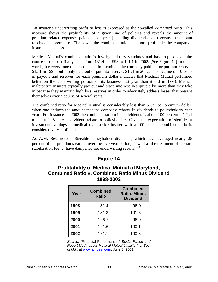An insurer's underwriting profit or loss is expressed as the so-called *combined ratio.* This measure shows the profitability of a given line of policies and reveals the amount of premium-related expenses paid out per year (including dividends paid) versus the amount received in premiums. The lower the combined ratio, the more profitable the company's insurance business.

Medical Mutual's combined ratio is low by industry standards and has dropped over the course of the past five years – from 131.4 in 1998 to 121.1 in 2002. [See Figure 14] In other words, for every one dollar collected in premiums the company paid out or put into reserves \$1.31 in 1998, but it only paid out or put into reserves \$1.21 in 2002. This decline of 10 cents in payouts and reserves for each premium dollar indicates that Medical Mutual performed better on the underwriting portion of its business last year than it did in 1998. Medical malpractice insurers typically pay out and place into reserves quite a bit more than they take in because they maintain high loss reserves in order to adequately address losses that present themselves over a course of several years.

The combined ratio for Medical Mutual is considerably less than \$1.21 per premium dollar, when one deducts the amount that the company rebates in dividends to policyholders each year. For instance, in 2002 the combined ratio minus dividends is about 100 percent – 121.1 minus a 20.8 percent dividend rebate to policyholders. Given the expectation of significant investment earnings, a medical malpractice insurer with a 100 percent combined ratio is considered very profitable.

As A.M. Best noted, "Sizeable policyholder dividends, which have averaged nearly 25 percent of net premiums earned over the five year period, as well as the treatment of the rate stabilization fee … have dampened net underwriting results."<sup>63</sup>

### **Figure 14**

### **Profitability of Medical Mutual of Maryland, Combined Ratio v. Combined Ratio Minus Dividend 1998-2002**

| Year | <b>Combined</b><br><b>Ratio</b> | <b>Combined</b><br><b>Ratio, Minus</b><br><b>Dividend</b> |
|------|---------------------------------|-----------------------------------------------------------|
| 1998 | 131.4                           | 96.0                                                      |
| 1999 | 131.3                           | 101.5                                                     |
| 2000 | 126.7                           | 96.9                                                      |
| 2001 | 121.6                           | 100.1                                                     |
| 2002 | 121.1                           | 100.3                                                     |

*Source:* "Financial Performance," *Best's Rating and Report Updates for Medical Mutual Liability Ins. Soc. of Md.*, at www.ambest.com, June 8, 2003.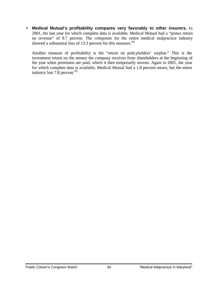• **Medical Mutual's profitability compares very favorably to other insurers.** In 2001, the last year for which complete data is available, Medical Mutual had a "pretax return on revenue" of 9.7 percent. The composite for the entire medical malpractice industry showed a substantial loss of 13.3 percent for this measure.<sup>64</sup>

Another measure of profitability is the "return on policyholders' surplus." This is the investment return on the money the company receives from shareholders at the beginning of the year when premiums are paid, which it then temporarily invests. Again in 2001, the year for which complete data is available, Medical Mutual had a 1.8 percent return, but the entire industry lost 7.8 percent.<sup>65</sup>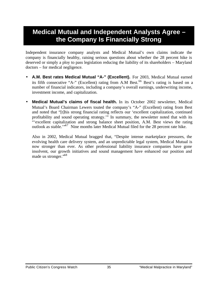# **Medical Mutual and Independent Analysts Agree – the Company Is Financially Strong**

Independent insurance company analysts and Medical Mutual's own claims indicate the company is financially healthy, raising serious questions about whether the 28 percent hike is deserved or simply a ploy to pass legislation reducing the liability of its shareholders – Maryland doctors – for medical negligence.

- **A.M. Best rates Medical Mutual "A-" (Excellent).** For 2003, Medical Mutual earned its fifth consecutive "A-" (Excellent) rating from A.M Best.<sup>66</sup> Best's rating is based on a number of financial indicators, including a company's overall earnings, underwriting income, investment income, and capitalization.
- **Medical Mutual's claims of fiscal health.** In its October 2002 newsletter, Medical Mutual's Board Chairman Lewers touted the company's "A-" (Excellent) rating from Best and noted that "[t]his strong financial rating reflects our 'excellent capitalization, continued profitability and sound operating strategy.'" In summary, the newsletter noted that with its "'excellent capitalization and strong balance sheet position, A.M. Best views the rating outlook as stable.<sup>"67</sup> Nine months later Medical Mutual filed for the 28 percent rate hike.

Also in 2002, Medical Mutual bragged that, "Despite intense marketplace pressures, the evolving health care delivery system, and an unpredictable legal system, Medical Mutual is now stronger than ever. As other professional liability insurance companies have gone insolvent, our growth initiatives and sound management have enhanced our position and made us stronger."<sup>68</sup>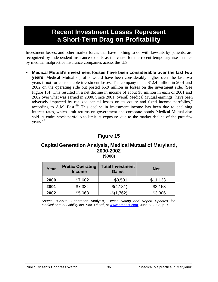### **Recent Investment Losses Represent a Short-Term Drag on Profitability**

Investment losses, and other market forces that have nothing to do with lawsuits by patients, are recognized by independent insurance experts as the cause for the recent temporary rise in rates by medical malpractice insurance companies across the U.S.

• **Medical Mutual's investment losses have been considerable over the last two years.** Medical Mutual's profits would have been considerably higher over the last two years if not for considerable investment losses. The company made \$12.4 million in 2001 and 2002 on the operating side but posted \$5.9 million in losses on the investment side. [See Figure 15] This resulted in a net decline in income of about \$8 million in each of 2001 and 2002 over what was earned in 2000. Since 2001, overall Medical Mutual earnings "have been adversely impacted by realized capital losses on its equity and fixed income portfolios," according to A.M. Best.<sup>69</sup> This decline in investment income has been due to declining interest rates, which limit returns on government and corporate bonds. Medical Mutual also sold its entire stock portfolio to limit its exposure due to the market decline of the past few vears. $70$ 

### **Figure 15**

#### **Capital Generation Analysis, Medical Mutual of Maryland, 2000-2002 (\$000)**

| Year | <b>Pretax Operating</b><br><b>Income</b> | <b>Total Investment</b><br><b>Gains</b> | <b>Net</b> |
|------|------------------------------------------|-----------------------------------------|------------|
| 2000 | \$7,602                                  | \$3,531                                 | \$11,133   |
| 2001 | \$7,334                                  | $-$(4,181)$                             | \$3,153    |
| 2002 | \$5,068                                  | $-$(1,762)$                             | \$3,306    |

*Source:* "Capital Generation Analysis," *Best's Rating and Report Updates for Medical Mutual Liability Ins. Soc. Of Md*, at www.ambest.com, June 8, 2003, p. 7.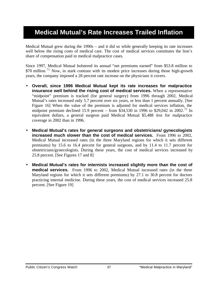# **Medical Mutual's Rate Increases Trailed Inflation**

Medical Mutual grew during the 1990s – and it did so while generally keeping its rate increases well below the rising costs of medical care. The cost of medical services constitutes the lion's share of compensation paid in medical malpractice cases.

Since 1997, Medical Mutual bolstered its annual "net premiums earned" from \$53.8 million to \$70 million.<sup>71</sup> Now, in stark contrast with its modest price increases during those high-growth years, the company imposed a 28 percent rate increase on the physicians it covers.

- **Overall, since 1996 Medical Mutual kept its rate increases for malpractice insurance well behind the rising cost of medical services.** When a representative "midpoint" premium is tracked (for general surgery) from 1996 through 2002, Medical Mutual's rates increased only 5.7 percent over six years, or less than 1 percent annually. [See Figure 16] When the value of the premium is adjusted for medical services inflation, the midpoint premium declined 15.9 percent – from \$34,530 in 1996 to \$29,042 in  $2002<sup>72</sup>$  In equivalent dollars, a general surgeon paid Medical Mutual \$5,488 *less* for malpractice coverage in 2002 than in 1996.
- **Medical Mutual's rates for general surgeons and obstetricians/ gynecologists increased much slower than the cost of medical services.** From 1996 to 2002, Medical Mutual increased rates (in the three Maryland regions for which it sets different premiums) by 15.6 to 16.4 percent for general surgeons, and by 11.4 to 11.7 percent for obstetricians/gynecologists. During these years, the cost of medical services increased by 25.8 percent. [See Figures 17 and 8]
- **Medical Mutual's rates for internists increased slightly more than the cost of medical services.** From 1996 to 2002, Medical Mutual increased rates (in the three Maryland regions for which it sets different premiums) by 27.1 to 30.8 percent for doctors practicing internal medicine. During these years, the cost of medical services increased 25.8 percent. [See Figure 19]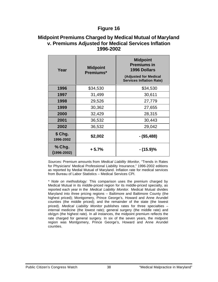#### **Midpoint Premiums Charged by Medical Mutual of Maryland v. Premiums Adjusted for Medical Services Inflation 1996-2002**

| Year                      | <b>Midpoint</b><br>Premiums* | <b>Midpoint</b><br><b>Premiums in</b><br><b>1996 Dollars</b><br>(Adjusted for Medical<br><b>Services Inflation Rate)</b> |
|---------------------------|------------------------------|--------------------------------------------------------------------------------------------------------------------------|
| 1996                      | \$34,530                     | \$34,530                                                                                                                 |
| 1997                      | 31,499                       | 30,611                                                                                                                   |
| 1998                      | 29,526                       | 27,779                                                                                                                   |
| 1999                      | 30,362                       | 27,655                                                                                                                   |
| 2000                      | 32,429                       | 28,315                                                                                                                   |
| 2001                      | 36,532                       | 30,443                                                                                                                   |
| 2002                      | 36,532                       | 29,042                                                                                                                   |
| \$ Chg.<br>1996-2002      | \$2,002                      | $-($5,488)$                                                                                                              |
| % Chg.<br>$(1996 - 2002)$ | $+5.7%$                      | - (15.9)%                                                                                                                |

*Sources:* Premium amounts from *Medical Liability Monitor*, "Trends in Rates for Physicians' Medical Professional Liability Insurance," 1996-2002 editions as reported by Medial Mutual of Maryland. Inflation rate for medical services from Bureau of Labor Statistics – Medical Services CPI.

*\* Note on methodology:* This comparison uses the premium charged by Medical Mutual in its middle-priced region for its middle-priced specialty, as reported each year in the *Medical Liability Monitor.* Medical Mutual divides Maryland into three pricing regions – Baltimore and Baltimore County (the highest priced); Montgomery, Prince George's, Howard and Anne Arundel counties (the middle priced); and the remainder of the state (the lowest priced). *Medical Liability Monitor* publishes rates for three specialties – internal medicine (the lowest rate); general surgery (the middle rate) and ob/gyn (the highest rate). In all instances, the midpoint premium reflects the rate charged for general surgery. In six of the seven years, the midpoint region was Montgomery, Prince George's, Howard and Anne Arundel counties.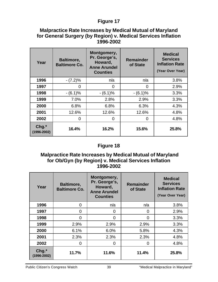### **Malpractice Rate Increases by Medical Mutual of Maryland for General Surgery (by Region) v. Medical Services Inflation 1996-2002**

| Year                   | Baltimore,<br><b>Baltimore Co.</b> | Montgomery,<br>Pr. George's,<br>Howard,<br><b>Anne Arundel</b><br><b>Counties</b> | <b>Remainder</b><br>of State | <b>Medical</b><br><b>Services</b><br><b>Inflation Rate</b><br>(Year Over Year) |
|------------------------|------------------------------------|-----------------------------------------------------------------------------------|------------------------------|--------------------------------------------------------------------------------|
| 1996                   | $-(7.2)\%$                         | n/a                                                                               | n/a                          | 3.8%                                                                           |
| 1997                   | 0                                  | 0                                                                                 | 0                            | 2.9%                                                                           |
| 1998                   | $-(6.1)\%$                         | $-(6.1)\%$                                                                        | $-(6.1)\%$                   | 3.3%                                                                           |
| 1999                   | 7.0%                               | 2.8%                                                                              | 2.9%                         | 3.3%                                                                           |
| 2000                   | 6.8%                               | 6.8%                                                                              | 6.3%                         | 4.3%                                                                           |
| 2001                   | 12.6%                              | 12.6%                                                                             | 12.6%                        | 4.8%                                                                           |
| 2002                   | 0                                  | 0                                                                                 | 0                            | 4.8%                                                                           |
| $Chg.*$<br>(1996-2002) | 16.4%                              | 16.2%                                                                             | 15.6%                        | 25.8%                                                                          |

### **Figure 18**

### **Malpractice Rate Increases by Medical Mutual of Maryland for Ob/Gyn (by Region) v. Medical Services Inflation 1996-2002**

| Year                   | <b>Baltimore,</b><br><b>Baltimore Co.</b> | Montgomery,<br>Pr. George's,<br>Howard,<br><b>Anne Arundel</b><br><b>Counties</b> | <b>Remainder</b><br>of State | <b>Medical</b><br><b>Services</b><br><b>Inflation Rate</b><br>(Year Over Year) |
|------------------------|-------------------------------------------|-----------------------------------------------------------------------------------|------------------------------|--------------------------------------------------------------------------------|
| 1996                   | 0                                         | n/a                                                                               | n/a                          | 3.8%                                                                           |
| 1997                   | 0                                         | 0                                                                                 | 0                            | 2.9%                                                                           |
| 1998                   | 0                                         | 0                                                                                 | 0                            | 3.3%                                                                           |
| 1999                   | 2.9%                                      | 2.9%                                                                              | 2.9%                         | 3.3%                                                                           |
| 2000                   | 6.1%                                      | 6.0%                                                                              | 5.8%                         | 4.3%                                                                           |
| 2001                   | 2.3%                                      | 2.3%                                                                              | 2.3%                         | 4.8%                                                                           |
| 2002                   | 0                                         | 0                                                                                 | 0                            | 4.8%                                                                           |
| $Chg.*$<br>(1996-2002) | 11.7%                                     | 11.6%                                                                             | 11.4%                        | 25.8%                                                                          |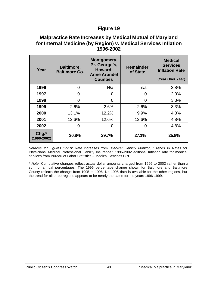#### **Malpractice Rate Increases by Medical Mutual of Maryland for Internal Medicine (by Region) v. Medical Services Inflation 1996-2002**

| Year                       | Baltimore,<br><b>Baltimore Co.</b> | Montgomery,<br>Pr. George's,<br>Howard,<br><b>Anne Arundel</b><br><b>Counties</b> | <b>Remainder</b><br>of State | <b>Medical</b><br><b>Services</b><br><b>Inflation Rate</b><br>(Year Over Year) |
|----------------------------|------------------------------------|-----------------------------------------------------------------------------------|------------------------------|--------------------------------------------------------------------------------|
| 1996                       | 0                                  | N/a                                                                               | n/a                          | 3.8%                                                                           |
| 1997                       | 0                                  | 0                                                                                 | 0                            | 2.9%                                                                           |
| 1998                       | $\Omega$                           | 0                                                                                 | 0                            | 3.3%                                                                           |
| 1999                       | 2.6%                               | 2.6%                                                                              | 2.6%                         | 3.3%                                                                           |
| 2000                       | 13.1%                              | 12.2%                                                                             | 9.9%                         | 4.3%                                                                           |
| 2001                       | 12.6%                              | 12.6%                                                                             | 12.6%                        | 4.8%                                                                           |
| 2002                       | 0                                  | 0                                                                                 | 0                            | 4.8%                                                                           |
| $Chg.*$<br>$(1996 - 2002)$ | 30.8%                              | 29.7%                                                                             | 27.1%                        | 25.8%                                                                          |

*Sources for Figures 17-19:* Rate increases from *Medical Liability Monitor*, "Trends in Rates for Physicians' Medical Professional Liability Insurance," 1996-2002 editions. Inflation rate for medical services from Bureau of Labor Statistics – Medical Services CPI.

*\* Note:* Cumulative changes reflect actual dollar amounts charged from 1996 to 2002 rather than a sum of annual percentages. The 1996 percentage change shown for Baltimore and Baltimore County reflects the change from 1995 to 1996. No 1995 data is available for the other regions, but the trend for all three regions appears to be nearly the same for the years 1996-1999.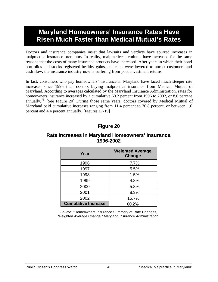# **Maryland Homeowners' Insurance Rates Have Risen Much Faster than Medical Mutual's Rates**

Doctors and insurance companies insist that lawsuits and verdicts have spurred increases in malpractice insurance premiums. In reality, malpractice premiums have increased for the same reasons that the costs of many insurance products have increased. After years in which their bond portfolios and stocks registered healthy gains, and rates were lowered to attract customers and cash flow, the insurance industry now is suffering from poor investment returns.

In fact, consumers who pay homeowners' insurance in Maryland have faced much steeper rate increases since 1996 than doctors buying malpractice insurance from Medical Mutual of Maryland. According to averages calculated by the Maryland Insurance Administration, rates for homeowners insurance increased by a cumulative 60.2 percent from 1996 to 2002, or 8.6 percent annually.<sup>73</sup> [See Figure 20] During those same years, doctors covered by Medical Mutual of Maryland paid cumulative increases ranging from 11.4 percent to 30.8 percent, or between 1.6 percent and 4.4 percent annually. [Figures 17-19]

### **Figure 20**

#### **Rate Increases in Maryland Homeowners' Insurance, 1996-2002**

| Year                       | <b>Weighted Average</b><br><b>Change</b> |
|----------------------------|------------------------------------------|
| 1996                       | 7.7%                                     |
| 1997                       | 5.5%                                     |
| 1998                       | 1.5%                                     |
| 1999                       | 4.8%                                     |
| 2000                       | 5.8%                                     |
| 2001                       | 8.3%                                     |
| 2002                       | 15.7%                                    |
| <b>Cumulative Increase</b> | 60.2%                                    |

*Source:* "Homeowners Insurance Summary of Rate Changes, Weighted Average Change," Maryland Insurance Administration.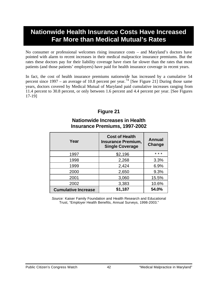# **Nationwide Health Insurance Costs Have Increased Far More than Medical Mutual's Rates**

No consumer or professional welcomes rising insurance costs – and Maryland's doctors have pointed with alarm to recent increases in their medical malpractice insurance premiums. But the rates these doctors pay for their liability coverage have risen far slower than the rates that most patients (and those patients' employers) have paid for health insurance coverage in recent years.

In fact, the cost of health insurance premiums nationwide has increased by a cumulative 54 percent since 1997 – an average of 10.8 percent per year.<sup>74</sup> [See Figure 21] During those same years, doctors covered by Medical Mutual of Maryland paid cumulative increases ranging from 11.4 percent to 30.8 percent, or only between 1.6 percent and 4.4 percent per year. [See Figures 17-19]

### **Figure 21**

### **Nationwide Increases in Health Insurance Premiums, 1997-2002**

| Year                       | <b>Cost of Health</b><br><b>Insurance Premium,</b><br><b>Single Coverage</b> | Annual<br>Change |
|----------------------------|------------------------------------------------------------------------------|------------------|
| 1997                       | \$2,196                                                                      | * * *            |
| 1998                       | 2,268                                                                        | 3.3%             |
| 1999                       | 2,424                                                                        | 6.9%             |
| 2000                       | 2,650                                                                        | 9.3%             |
| 2001                       | 3,060                                                                        | 15.5%            |
| 2002                       | 3,383                                                                        | 10.6%            |
| <b>Cumulative Increase</b> | \$1,187                                                                      | 54.0%            |

*Source:* Kaiser Family Foundation and Health Research and Educational Trust, "Employer Health Benefits, Annual Surveys, 1998-2003."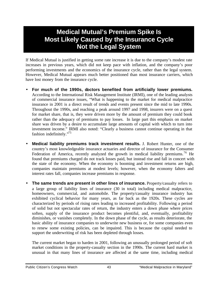# **Medical Mutual's Premium Spike Is Most Likely Caused by the Insurance Cycle Not the Legal System**

If Medical Mutual is justified in getting some rate increase it is due to the company's modest rate increases in previous years, which did not keep pace with inflation, and the company's poor performing investments and the economics of the insurance cycle, rather than the legal system. However, Medical Mutual appears much better positioned than most insurance carriers, which have lost money from the insurance cycle.

- **For much of the 1990s, doctors benefited from artificially lower premiums.** According to the International Risk Management Institute (IRMI), one of the leading analysts of commercial insurance issues, "What is happening to the market for medical malpractice insurance in 2001 is a direct result of trends and events present since the mid to late 1990s. Throughout the 1990s, and reaching a peak around 1997 and 1998, insurers were on a quest for market share, that is, they were driven more by the amount of premium they could book rather than the adequacy of premiums to pay losses. In large part this emphasis on market share was driven by a desire to accumulate large amounts of capital with which to turn into investment income." IRMI also noted: "Clearly a business cannot continue operating in that fashion indefinitely."<sup>75</sup>
- **Medical liability premiums track investment results.** J. Robert Hunter, one of the country's most knowledgeable insurance actuaries and director of insurance for the Consumer Federation of America, recently analyzed the growth in medical liability premiums.<sup>76</sup> He found that premiums charged do not track losses paid, but instead rise and fall in concert with the state of the economy. When the economy is booming and investment returns are high, companies maintain premiums at modest levels; however, when the economy falters and interest rates fall, companies increase premiums in response.
- **The same trends are present in other lines of insurance.** Property/casualty refers to a large group of liability lines of insurance (30 in total) including medical malpractice, homeowners, commercial, and automobile. The property/casualty insurance industry has exhibited cyclical behavior for many years, as far back as the 1920s. These cycles are characterized by periods of rising rates leading to increased profitability. Following a period of solid but not spectacular rates of return, the industry enters a down phase where prices soften, supply of the insurance product becomes plentiful, and, eventually, profitability diminishes, or vanishes completely. In the down phase of the cycle, as results deteriorate, the basic ability of insurance companies to underwrite new business or, for some companies even to renew some existing policies, can be impaired. This is because the capital needed to support the underwriting of risk has been depleted through losses.

The current market began to harden in 2001, following an unusually prolonged period of soft market conditions in the property-casualty section in the 1990s. The current hard market is unusual in that many lines of insurance are affected at the same time, including medical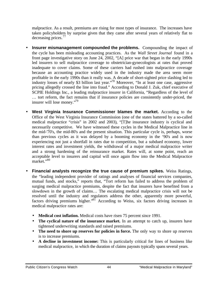malpractice. As a result, premiums are rising for most types of insurance. The increases have taken policyholders by surprise given that they came after several years of relatively flat to decreasing prices.<sup>77</sup>

- **Insurer mismanagement compounded the problems.** Compounding the impact of the cycle has been misleading accounting practices. As the *Wall Street Journal* found in a front page investigative story on June 24, 2002, "[A] price war that began in the early 1990s led insurers to sell malpractice coverage to obstetrician-gynecologists at rates that proved inadequate to cover claims. Some of these carriers had rushed into malpractice coverage because an accounting practice widely used in the industry made the area seem more profitable in the early 1990s than it really was. A decade of short-sighted price slashing led to industry losses of nearly \$3 billion last year."<sup>78</sup> Moreover, "In at least one case, aggressive pricing allegedly crossed the line into fraud." According to Donald J. Zuk, chief executive of SCPIE Holdings Inc., a leading malpractice insurer in California, "Regardless of the level of … tort reform, the fact remains that if insurance policies are consistently under-priced, the insurer will lose money."<sup>79</sup>
- **West Virginia Insurance Commissioner blames the market.** According to the Office of the West Virginia Insurance Commission (one of the states battered by a so-called medical malpractice "crisis" in 2002 and 2003), "[T]he insurance industry is cyclical and necessarily competitive. We have witnessed these cycles in the Medical Malpractice line in the mid-'70's, the mid-80's and the present situation. This particular cycle is, perhaps, worse than previous cycles as it was delayed by a booming economy in the '90's and is now experiencing not just a shortfall in rates due to competition, but a subdued economy, lower interest rates and investment yields, the withdrawal of a major medical malpractice writer and a strong hardening of the reinsurance market. Rates will, at some point, reach an acceptable level to insurers and capital will once again flow into the Medical Malpractice market."<sup>80</sup>
- **Financial analysts recognize the true cause of premium spikes.** Weiss Ratings, the "leading independent provider of ratings and analyses of financial services companies, mutual funds, and stocks," reports that, "Tort reform has failed to address the problem of surging medical malpractice premiums, despite the fact that insurers have benefited from a slowdown in the growth of claims… The escalating medical malpractice crisis will not be resolved until the industry and regulators address the other, apparently more powerful, factors driving premiums higher.<sup>81</sup> According to Weiss, six factors driving increases in medical malpractice rates are:
	- **Medical cost inflation.** Medical costs have risen 75 percent since 1991.
	- **The cyclical nature of the insurance market.** In an attempt to catch up, insurers have tightened underwriting standards and raised premiums.
	- **The need to shore up reserves for policies in force.** The only way to shore up reserves is to increase premiums.
	- **A decline in investment income:** This is particularly critical for lines of business like medical malpractice, in which the duration of claims payouts typically spans several years.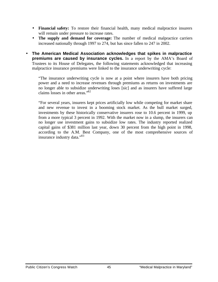- **Financial safety:** To restore their financial health, many medical malpractice insurers will remain under pressure to increase rates.
- **The supply and demand for coverage:** The number of medical malpractice carriers increased nationally through 1997 to 274, but has since fallen to 247 in 2002.
- **The American Medical Association acknowledges that spikes in malpractice premiums are caused by insurance cycles.** In a report by the AMA's Board of Trustees to its House of Delegates, the following statements acknowledged that increasing malpractice insurance premiums were linked to the insurance underwriting cycle:

"The insurance underwriting cycle is now at a point where insurers have both pricing power and a need to increase revenues through premiums as returns on investments are no longer able to subsidize underwriting loses [sic] and as insurers have suffered large claims losses in other areas."<sup>82</sup>

"For several years, insurers kept prices artificially low while competing for market share and new revenue to invest in a booming stock market. As the bull market surged, investments by these historically conservative insurers rose to 10.6 percent in 1999, up from a more typical 3 percent in 1992. With the market now in a slump, the insurers can no longer use investment gains to subsidize low rates. The industry reported realized capital gains of \$381 million last year, down 30 percent from the high point in 1998, according to the A.M. Best Company, one of the most comprehensive sources of insurance industry data."<sup>83</sup>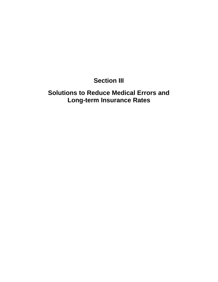# **Section III**

# **Solutions to Reduce Medical Errors and Long-term Insurance Rates**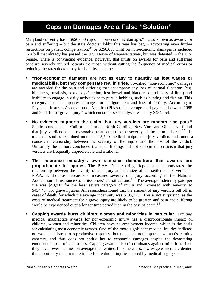# **Caps on Damages Are a False "Solution"**

Maryland currently has a \$620,000 cap on "non-economic damages" – also known as awards for pain and suffering – but the state doctors' lobby this year has begun advocating even further restrictions on patient compensation. <sup>84</sup> A \$250,000 limit on non-economic damages is included in a bill that already has passed the U.S. House of Representatives, but was defeated in the U.S. Senate. There is convincing evidence, however, that limits on awards for pain and suffering penalize severely injured patients the most, without cutting the frequency of medical errors or reducing the rates doctors pay for liability insurance.

- **"Non-economic" damages are not as easy to quantify as lost wages or medical bills, but they compensate real injuries.** So-called "non-economic" damages are awarded for the pain and suffering that accompany any loss of normal functions (e.g. blindness, paralysis, sexual dysfunction, lost bowel and bladder control, loss of limb) and inability to engage in daily activities or to pursue hobbies, such as hunting and fishing. This category also encompasses damages for disfigurement and loss of fertility. According to Physician Insurers Association of America (PIAA), the average total payment between 1985 and 2001 for a "grave injury," which encompasses paralysis, was only \$454,454.
- **No evidence supports the claim that jury verdicts are random "jackpots."** Studies conducted in California, Florida, North Carolina, New York and Ohio have found that jury verdicts bear a reasonable relationship to the severity of the harm suffered.<sup>85</sup> In total, the studies examined more than 3,500 medical malpractice jury verdicts and found a consistent relationship between the severity of the injury and the size of the verdict. Uniformly the authors concluded that their findings did not support the criticism that jury verdicts are frequently unpredictable and irrational.
- **The insurance industry's own statistics demonstrate that awards are proportionate to injuries.** The PIAA Data Sharing Report also demonstrates the relationship between the severity of an injury and the size of the settlement or verdict.<sup>86</sup> PIAA, as do most researchers, measures severity of injury according to the National Association of Insurance Commissioners' classifications.<sup>87</sup> The average indemnity paid per file was \$49,947 for the least severe category of injury and increased with severity, to \$454,454 for grave injuries. All researchers found that the amount of jury verdicts fell off in cases of death, for which the average indemnity was \$195,723. This is not surprising, as the costs of medical treatment for a grave injury are likely to be greater, and pain and suffering would be experienced over a longer time period than in the case of death.<sup>88</sup>
- **Capping awards hurts children, women and minorities in particular.** Limiting medical malpractice awards for non-economic injury has a disproportionate impact on children, women and minorities. Children have no employment income, which is the basis for calculating most economic awards. One of the more significant medical injuries inflicted on women is harm to reproductive capacity, but that does not impact a woman's earning capacity, and thus does not entitle her to economic damages despite the devastating emotional impact of such a loss. Capping awards also discriminates against minorities since they have lower incomes on average than whites. In some cases, low wage earners are denied the opportunity to earn more in the future due to injuries caused by medical negligence.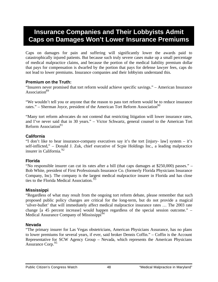# **Insurance Companies and Their Lobbyists Admit Caps on Damages Won't Lower Insurance Premiums**

Caps on damages for pain and suffering will significantly lower the awards paid to catastrophically injured patients. But because such truly severe cases make up a small percentage of medical malpractice claims, and because the portion of the medical liability premium dollar that pays for compensation is dwarfed by the portion that pays for defense lawyer fees, caps do not lead to lower premiums. Insurance companies and their lobbyists understand this.

#### **Premium on the Truth:**

"Insurers never promised that tort reform would achieve specific savings." – American Insurance Association<sup>89</sup>

"We wouldn't tell you or anyone that the reason to pass tort reform would be to reduce insurance rates." – Sherman Joyce, president of the American Tort Reform Association<sup>90</sup>

"Many tort reform advocates do not contend that restricting litigation will lower insurance rates, and I've never said that in 30 years." – Victor Schwartz, general counsel to the American Tort Reform Association $91$ 

#### **California**

"I don't like to hear insurance-company executives say it's the tort [injury- law] system – it's self-inflicted," – Donald J. Zuk, chief executive of Scpie Holdings Inc., a leading malpractice insurer in California.<sup>92</sup>

#### **Florida**

"No responsible insurer can cut its rates after a bill (that caps damages at \$250,000) passes." – Bob White, president of First Professionals Insurance Co. (formerly Florida Physicians Insurance Company, Inc). The company is the largest medical malpractice insurer in Florida and has close ties to the Florida Medical Association.<sup>9</sup>

#### **Mississippi**

"Regardless of what may result from the ongoing tort reform debate, please remember that such proposed public policy changes are critical for the long-term, but do not provide a magical 'silver-bullet' that will immediately affect medical malpractice insurance rates … The 2003 rate change [a 45 percent increase] would happen regardless of the special session outcome." – Medical Assurance Company of Mississippi<sup>94</sup>

#### **Nevada**

"The primary insurer for Las Vegas obstetricians, American Physicians Assurance, has no plans to lower premiums for several years, if ever, said broker Dennis Coffin." – Coffin is the Account Representative for SCW Agency Group – Nevada, which represents the American Physicians Assurance Corp.<sup>95</sup>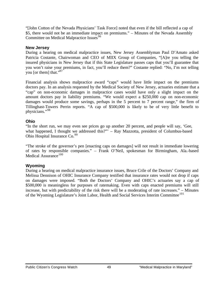"[John Cotton of the Nevada Physicians' Task Force] noted that even if the bill reflected a cap of \$5, there would not be an immediate impact on premiums." – Minutes of the Nevada Assembly Committee on Medical Malpractice Issues<sup>96</sup>

#### **New Jersey**

During a hearing on medical malpractice issues, New Jersey Assemblyman Paul D'Amato asked Patricia Costante, Chairwoman and CEO of MIIX Group of Companies, "[A]re you telling the insured physicians in New Jersey that if this State Legislature passes caps that you'll guarantee that you won't raise your premiums, in fact, you'll reduce them?" Costante replied: "No, I'm not telling you [or them] that."<sup>97</sup>

Financial analysis shows malpractice award "caps" would have little impact on the premiums doctors pay. In an analysis requested by the Medical Society of New Jersey, actuaries estimate that a "cap" on non-economic damages in malpractice cases would have only a slight impact on the amount doctors pay in liability premiums. "We would expect a \$250,000 cap on non-economic damages would produce some savings, perhaps in the 5 percent to 7 percent range," the firm of Tillinghast-Towers Perrin reports. "A cap of \$500,000 is likely to be of very little benefit to physicians."<sup>98</sup>

#### **Ohio**

"In the short run, we may even see prices go up another 20 percent, and people will say, 'Gee, what happened, I thought we addressed this?"' – Ray Mazzotta, president of Columbus-based Ohio Hospital Insurance Co.<sup>99</sup>

"The stroke of the governor's pen [enacting caps on damages] will not result in immediate lowering of rates by responsible companies." – Frank O'Neil, spokesman for Birmingham, Ala.-based Medical Assurance<sup>100</sup>

#### **Wyoming**

During a hearing on medical malpractice insurance issues, Bruce Crile of the Doctors' Company and Melissa Dennison of OHIC Insurance Company testified that insurance rates would not drop if caps on damages were imposed. "Both the Doctors' Company and OHIC's actuaries say a cap of \$500,000 is meaningless for purposes of ratemaking. Even with caps enacted premiums will still increase, but with predictability of the risk there will be a moderating of rate increases." – Minutes of the Wyoming Legislature's Joint Labor, Health and Social Services Interim Committee<sup>101</sup>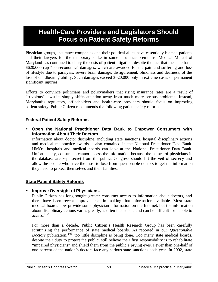# **Health-Care Providers and Legislators Should Focus on Patient Safety Reforms**

Physician groups, insurance companies and their political allies have essentially blamed patients and their lawyers for the temporary spike in some insurance premiums. Medical Mutual of Maryland has continued to decry the costs of patient litigation, despite the fact that the state has a \$620,000 cap "non-economic" damages, which are awarded for the pain and suffering and loss of lifestyle due to paralysis, severe brain damage, disfigurement, blindness and deafness, of the loss of childbearing ability. Such damages exceed \$620,000 only in extreme cases of permanent significant injuries.

Efforts to convince politicians and policymakers that rising insurance rates are a result of "frivolous" lawsuits simply shifts attention away from much more serious problems. Instead, Maryland's regulators, officeholders and health-care providers should focus on improving patient safety. Public Citizen recommends the following patient safety reforms:

#### **Federal Patient Safety Reforms**

• **Open the National Practitioner Data Bank to Empower Consumers with Information About Their Doctors.**

Information about doctor discipline, including state sanctions, hospital disciplinary actions and medical malpractice awards is also contained in the National Practitioner Data Bank. HMOs, hospitals and medical boards can look at the National Practitioner Data Bank. Unfortunately, consumers cannot access the information because the names of physicians in the database are kept secret from the public. Congress should lift the veil of secrecy and allow the people who have the most to lose from questionable doctors to get the information they need to protect themselves and their families.

#### **State Patient Safety Reforms**

#### • **Improve Oversight of Physicians.**

Public Citizen has long sought greater consumer access to information about doctors, and there have been recent improvements in making that information available. Most state medical boards now provide some physician information on the Internet, but the information about disciplinary actions varies greatly, is often inadequate and can be difficult for people to access.<sup>102</sup>

For more than a decade, Public Citizen's Health Research Group has been carefully scrutinizing the performance of state medical boards. As reported in our *Questionable Doctors* publication, <sup>103</sup> too little discipline is being done. Too many state medical boards, despite their duty to protect the public, still believe their first responsibility is to rehabilitate "impaired physicians" and shield them from the public's prying eyes. Fewer than one-half of one percent of the nation's doctors face any serious state sanctions each year. In 2002, state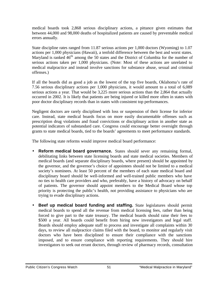medical boards took 2,868 serious disciplinary actions, a pittance given estimates that between 44,000 and 98,000 deaths of hospitalized patients are caused by preventable medical errors annually.

State discipline rates ranged from 11.87 serious actions per 1,000 doctors (Wyoming) to 1.07 actions per 1,000 physicians (Hawaii), a tenfold difference between the best and worst states. Maryland is ranked  $46<sup>th</sup>$  among the 50 states and the District of Columbia for the number of serious actions taken per 1,000 physicians. (Note: Most of these actions are unrelated to medical malpractice and instead involve sanctions for substance abuse, sexual and criminal offenses.)

If all the boards did as good a job as the lowest of the top five boards, Oklahoma's rate of 7.56 serious disciplinary actions per 1,000 physicians, it would amount to a total of 6,089 serious actions a year. That would be 3,225 more serious actions than the 2,864 that actually occurred in 2002. It is likely that patients are being injured or killed more often in states with poor doctor disciplinary records than in states with consistent top performances.

Negligent doctors are rarely disciplined with loss or suspension of their license for inferior care. Instead, state medical boards focus on more easily documentable offenses such as prescription drug violations and fraud convictions or disciplinary action in another state as potential indicators of substandard care. Congress could encourage better oversight through grants to state medical boards, tied to the boards' agreements to meet performance standards.

The following state reforms would improve medical board performance:

- **Reform medical board governance.** States should sever any remaining formal, debilitating links between state licensing boards and state medical societies. Members of medical boards (and separate disciplinary boards, where present) should be appointed by the governor, and the governor's choice of appointees should not be limited to a medical society's nominees. At least 50 percent of the members of each state medical board and disciplinary board should be well-informed and well-trained public members who have no ties to health care providers and who, preferably, have a history of advocacy on behalf of patients. The governor should appoint members to the Medical Board whose top priority is protecting the public's health, not providing assistance to physicians who are trying to evade disciplinary actions.
- **Beef up medical board funding and staffing.** State legislatures should permit medical boards to spend all the revenue from medical licensing fees, rather than being forced to give part to the state treasury. The medical boards should raise their fees to \$500 a year. All boards could benefit from hiring new investigators and legal staff. Boards should employ adequate staff to process and investigate all complaints within 30 days, to review all malpractice claims filed with the board, to monitor and regularly visit doctors who have been disciplined to ensure their compliance with the sanctions imposed, and to ensure compliance with reporting requirements. They should hire investigators to seek out errant doctors, through review of pharmacy records, consultation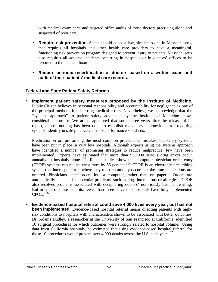with medical examiners, and targeted office audits of those doctors practicing alone and suspected of poor care.

- **Require risk prevention.** States should adopt a law, similar to one in Massachusetts, that requires all hospitals and other health care providers to have a meaningful, functioning risk prevention program designed to prevent injury to patients. Massachusetts also requires all adverse incidents occurring in hospitals or in doctors' offices to be reported to the medical board.
- **Require periodic recertification of doctors based on a written exam and audit of their patients' medical care records.**

#### **Federal and State Patient Safety Reforms**

• **Implement patient safety measures proposed by the Institute of Medicine.** Public Citizen believes in personal responsibility and accountability for negligence as one of the principal methods for deterring medical errors. Nevertheless, we acknowledge that the "systems approach" to patient safety advocated by the Institute of Medicine shows considerable promise. We are disappointed that some three years after the release of its report, almost nothing has been done to establish mandatory nationwide error reporting systems, identify unsafe practices, or raise performance standards.

Medication errors are among the most common preventable mistakes, but safety systems have been put in place in very few hospitals. Although experts using the systems approach have identified a number of promising strategies to reduce malpractice, few have been implemented. Experts have estimated that more than 950,000 serious drug errors occur annually in hospitals alone.<sup>104</sup> Recent studies show that computer physician order entry (CPOE) systems can reduce error rates by 55 percent,  $^{105}$  CPOE is an electronic prescribing system that intercepts errors where they most commonly occur – at the time medications are ordered. Physicians enter orders into a computer, rather than on paper. Orders are automatically checked for potential problems, such as drug interactions or allergies. CPOE also resolves problems associated with deciphering doctors' notoriously bad handwriting. But in spite of these benefits, fewer than three percent of hospitals have fully implemented  $CPOE.$ <sup>106</sup>

• **Evidence-based hospital referral could save 4,000 lives every year, but has not been implemented.** Evidence-based hospital referral means directing patients with highrisk conditions to hospitals with characteristics shown to be associated with better outcomes. Dr. Adams Dudley, a researcher at the University of San Francisco at California, identified 10 surgical procedures for which outcomes were strongly related to hospital volume. Using data from California hospitals, he estimated that using evidence-based hospital referral for those 10 procedures would prevent over 4,000 deaths across the U.S. each year.<sup>107</sup>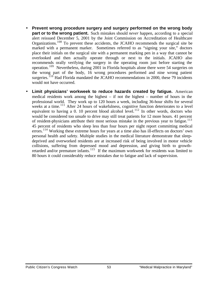- **Prevent wrong procedure surgery and surgery performed on the wrong body part or to the wrong patient.** Such mistakes should *never* happen, according to a special alert reissued December 5, 2001 by the Joint Commission on Accreditation of Healthcare Organizations.<sup>108</sup> To prevent these accidents, the JCAHO recommends the surgical site be marked with a permanent marker. Sometimes referred to as "signing your site," doctors place their initials on the surgical site with a permanent marking pen in a way that cannot be overlooked and then actually operate through or next to the initials. JCAHO also recommends orally verifying the surgery in the operating room just before starting the operation. <sup>109</sup> Nevertheless, during 2001 in Florida hospitals alone there were 54 surgeries on the wrong part of the body, 16 wrong procedures performed and nine wrong patient surgeries.<sup> $110$ </sup> Had Florida mandated the JCAHO recommendations in 2000, these 79 incidents would not have occurred.
- **Limit physicians' workweek to reduce hazards created by fatigue.** American medical residents work among the highest – if not the highest – number of hours in the professional world. They work up to 120 hours a week, including 36-hour shifts for several weeks at a time.<sup>111</sup> After 24 hours of wakefulness, cognitive function deteriorates to a level equivalent to having a 0. 10 percent blood alcohol level.<sup>112</sup> In other words, doctors who would be considered too unsafe to drive may still treat patients for 12 more hours. 41 percent of resident-physicians attribute their most serious mistake in the previous year to fatigue.<sup>113</sup> 45 percent of residents who sleep less than four hours per night report committing medical errors.<sup>114</sup> Working these extreme hours for years at a time also has ill-effects on doctors' own personal health and safety. Multiple studies in the medical literature demonstrate that sleepdeprived and overworked residents are at increased risk of being involved in motor vehicle collisions, suffering from depressed mood and depression, and giving birth to growthretarded and/or premature infants.<sup>115</sup> If the maximum workweek for residents was limited to 80 hours it could considerably reduce mistakes due to fatigue and lack of supervision.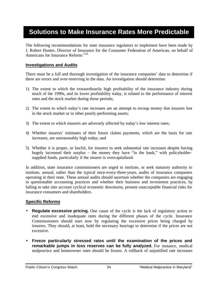# **Solutions to Make Insurance Rates More Predictable**

The following recommendations for state insurance regulators to implement have been made by J. Robert Hunter, Director of Insurance for the Consumer Federation of American, on behalf of Americans for Insurance Reform:  $116$ 

#### **Investigations and Audits**

There must be a full and thorough investigation of the insurance companies' data to determine if there are errors and over-reserving in the data. An investigation should determine:

- 1) The extent to which the extraordinarily high profitability of the insurance industry during much of the 1990s, and its lower profitability today, is related to the performance of interest rates and the stock market during those periods;
- 2) The extent to which today's rate increases are an attempt to recoup money that insurers lost in the stock market or in other poorly-performing assets;
- 3) The extent to which insurers are adversely affected by today's low interest rates;
- 4) Whether insurers' estimates of their future claims payments, which are the basis for rate increases, are unreasonably high today; and
- 5) Whether it is proper, or lawful, for insurers to seek substantial rate increases despite having hugely increased their surplus – the money they have "in the bank," with policyholdersupplied funds, particularly if the insurer is overcapitalized.

In addition, state insurance commissioners are urged to institute, or seek statutory authority to institute, annual, rather than the typical once-every-three-years, audits of insurance companies operating in their state. These annual audits should ascertain whether the companies are engaging in questionable accounting practices and whether their business and investment practices, by failing to take into account cyclical economic downturns, present unacceptable financial risks for insurance consumers and shareholders.

#### **Specific Reforms**

- **Regulate excessive pricing.** One cause of the cycle is the lack of regulatory action to end excessive and inadequate rates during the different phases of the cycle. Insurance Commissioners should start now by regulating the excessive prices being charged by insurers. They should, at least, hold the necessary hearings to determine if the prices are not excessive.
- **Freeze particularly stressed rates until the examination of the prices and remarkable jumps in loss reserves can be fully analyzed.** For instance, medical malpractice and homeowner rates should be frozen. A rollback of unjustified rate increases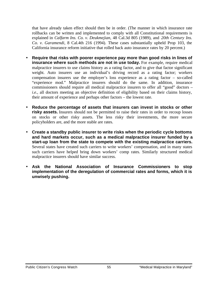that have already taken effect should then be in order. (The manner in which insurance rate rollbacks can be written and implemented to comply with all Constitutional requirements is explained in *Calfarm Ins. Co. v. Deukmejian*, 48 Cal.3d 805 (1989), and *20th Century Ins. Co. v. Garamendi*, 8 Cal.4th 216 (1994). These cases substantially upheld Prop 103, the California insurance reform initiative that rolled back auto insurance rates by 20 percent.)

- **Require that risks with poorer experience pay more than good risks in lines of insurance where such methods are not in use today.** For example, require medical malpractice insurers to use claims history as a rating factor, and to give that factor significant weight. Auto insurers use an individual's driving record as a rating factor; workers compensation insurers use the employer's loss experience as a rating factor – so-called "experience mod." Malpractice insurers should do the same. In addition, insurance commissioners should require all medical malpractice insurers to offer all "good" doctors – *i.e.*, all doctors meeting an objective definition of eligibility based on their claims history, their amount of experience and perhaps other factors – the lowest rate.
- **Reduce the percentage of assets that insurers can invest in stocks or other risky assets.** Insurers should not be permitted to raise their rates in order to recoup losses on stocks or other risky assets. The less risky their investments, the more secure policyholders are, and the more stable are rates.
- **Create a standby public insurer to write risks when the periodic cycle bottoms and hard markets occur, such as a medical malpractice insurer funded by a start-up loan from the state to compete with the existing malpractice carriers.** Several states have created such carriers to write workers' compensation, and in many states such carriers have helped bring down workers' comp rates. Similarly structured medical malpractice insurers should have similar success.
- **Ask the National Association of Insurance Commissioners to stop implementation of the deregulation of commercial rates and forms, which it is unwisely pushing.**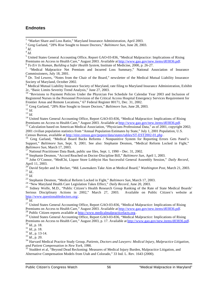#### **Endnotes**

<sup>5</sup> United States General Accounting Office, Report GAO-03-836, "Medical Malpractice: Implications of Rising Premiums on Access to Health Care," August 2003. Available at http://www.gao.gov/new.items/d03836.pdf.

6 *To Err Is Human, Building a Safer Health System*, Institute of Medicine, 2000, p. 26-27.

<sup>7</sup> "Medical Malpractice Net Premium and Incurred Loss Summary," National Association of Insurance Commissioners, July 18, 2001.

<sup>8</sup> Dr. Ted Lewers, "Notes from the Chair of the Board," newsletter of the Medical Mutual Liability Insurance

Society of Maryland, October 2002.<br><sup>9</sup> Medical Mutual Liability Insurance Society of Maryland, rate filing to Maryland Insurance Administration, Exhibit 2c, "Basic Limits Severity Trend Analysis," June 27, 2003.

<sup>10</sup> "Revisions to Payment Policies Under the Physician Fee Schedule for Calendar Year 2003 and Inclusion of Registered Nurses in the Personnel Provision of the Critical Access Hospital Emergency Services Requirement for Frontier Areas and Remote Locations," 67 Federal Register 80171, Dec. 31, 2002.

<sup>11</sup> Greg Garland, "28% Rise Sought to Insure Doctors," *Baltimore Sun*, June 28, 2003.

<sup>12</sup> *Id.*

<sup>13</sup> *Id.*

<sup>14</sup> United States General Accounting Office, Report GAO-03-836, "Medical Malpractice: Implications of Rising Premiums on Access to Health Care," August 2003. Available at http://www.gao.gov/new.items/d03836.pdf.

<sup>15</sup> Calculation based on American Medical Association, "Physicians Professional Data," as of 2001, copyright 2002; 2001 civilian population statistics from "Annual Population Estimates by State," July 1, 2001 Population, U.S. Census Bureau, available at http://eire.census.gov/popest/data/states/tables/ST-EST2002-01.php .

<sup>16</sup> Greg Garland, "Medical Board Backs Reforms / Nonpunitive System for Reporting Errors Gets Panel's Support," *Baltimore Sun,* Sept. 9, 2001. See also: Stephanie Desmon, "Medical Reform Locked in Fight," *Baltimore Sun*, March 17, 2003.

 $17$  National Practitioner Data Bank, public use files, Sept. 1, 1990 – Dec. 31, 2002.

<sup>18</sup> Stephanie Desmon, "Accord Reached on Doctor-Discipline Bill," *Baltimore Sun*, April 1, 2003.

<sup>19</sup> John O'Connor, "MedChi, Liquor Store Lobbyist Has Successful General Assembly Session," *Daily Record*, April 11, 2003.

<sup>20</sup> David Snyder and Jo Becker, "Md. Lawmakers Take Aim at Medical Board," *Washington Post*, March 21, 2003. <sup>21</sup> *Id..*

 $^{22}$  *Id.* 

<sup>23</sup> Stephanie Desmon, "Medical Reform Locked in Fight," *Baltimore Sun*, March 17, 2003.

<sup>24</sup> "New Maryland Health Care Legislation Takes Effect," *Daily Record*, June 20, 2003.

<sup>25</sup> Sidney Wolfe, M.D., "Public Citizen's Health Research Group Ranking of the Rate of State Medical Boards' Serious Disciplinary Actions in 2002," March 27, 2003. Available on Public Citizen's website at http://www.questionabledoctors.org/*.*

<sup>26</sup> *Id.*

<sup>27</sup> United States General Accounting Office, Report GAO-03-836, "Medical Malpractice: Implications of Rising Premiums on Access to Health Care," August 2003. Available at http://www.gao.gov/new.items/d03836.pdf. <sup>28</sup> Public Citizen reports available at http://www.medicalmalpracticefacts.org.

<sup>29</sup> United States General Accounting Office, Report GAO-03-836, "Medical Malpractice: Implications of Rising Premiums on Access to Health Care," August 2003, p. 17. Available at http://www.gao.gov/new.items/d03836.pdf. <sup>30</sup> *Id.,* p. 18.

<sup>31</sup> *Id.,* p. 18.

 $32 \overline{Id}$ , p. 13-14.

<sup>33</sup> *Id*., p. 20.

<sup>34</sup> Harvard Medical Practice Study Group, *Patients, Doctors and Lawyers: Medical Injury, Malpractice Litigation, and Patient Compensation in New York,* 1990.

<sup>35</sup> Studdert et al, "Beyond Dead Reckoning: Measures of Medical Injury Burden, Malpractice Litigation, and Alternative Compensation Models from Utah and Colorado," 33 Ind. L. Rev. 1643 (2000).

 1 "Market Share and Loss Ratio," Maryland Insurance Administration, April 2003.

<sup>2</sup> Greg Garland, "28% Rise Sought to Insure Doctors," *Baltimore Sun*, June 28, 2003.

<sup>3</sup> *Id*.

<sup>4</sup> *Id.*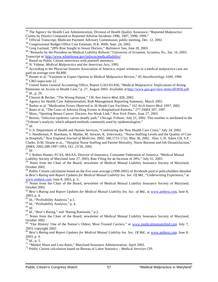$36$  The Agency for Health Care Administration; Division of Health Quality Assurance, "Reported Malpractice Claims by District Compared to Reported Adverse Incidents 1996, 1997, 1998, 1999."

<sup>41</sup> Based on Public Citizen interviews with plaintiff attorneys.

<sup>42</sup> N. Vidmar, *Medical Malpractice and the American Jury,* 1995.

<sup>43</sup> According to the Physician Insurers Association of America, expert witnesses in a medical malpractice case are paid on average over \$4,800.

<sup>44</sup> Posner et al, "Variation in Expert Opinion in Medical Malpractice Review," 85 *Anesthesiology 1049*, 1996. <sup>45</sup> CBO supra note 22.

<sup>46</sup> United States General Accounting Office, Report GAO-03-836, "Medical Malpractice: Implications of Rising

Premiums on Access to Health Care," p. 27, August 2003. Available at http://www.gao.gov/new.items/d03836.pdf. <sup>47</sup> *Id*., p. 29.

<sup>48</sup> Chassin & Becher, "The Wrong Patient," 136 *Ann Intern Med.* 826, 2002.

<sup>49</sup> Agency for Health Care Administration, Risk Management Reporting Summary, March 2002.

<sup>50</sup> Barker et al, "Medication Errors Observed in 36 Heath Care Facilities," 162 *Arch Intern Med*. *1897*, 2002.

<sup>51</sup> Bates et al, "The Costs of Adverse Drug Events in Hospitalized Patients," 277 *JAMA 307,* 1997.

<sup>52</sup> Moss, "Spotting Breast Cancer: Doctors Are Weak Link," *New York Times*, June 27, 2002.

<sup>53</sup> Berens, "Infection epidemic carves deadly path," *Chicago Tribune*, July 21, 2002. This number is attributed to the "Tribune's analysis, which adopted methods commonly used by epidemiologists."  $^{54}$  *Id.* 

<sup>55</sup> U.S. Department of Health and Human Services, "Confronting the New Health Care Crisis," July 24, 2002.

<sup>56</sup> J. Needleman, P. Buerhaus, S. Mattke, M. Stewart, K. Zelevinsky, "Nurse-Staffing Levels and the Quality of Care

in Hospitals," *New England Journal of Medicine,* 2002; 346:1715-1722, May 30, 2002. Also: L.H. Aiken LH, S.P. Clarke, D.M. Sloane et al., "Hospital Nurse Staffing and Patient Mortality, Nurse Burnout and Job Dissatisfaction*,*" *JAMA*, 2002;288:1987-1993, Oct. 23/30, 2002. <sup>57</sup> *Id.*

<sup>58</sup> J. Robert Hunter, FCAS, MAAA, Director of Insurance, Consumer Federation of America, "Medical Mutual Liability Society of Maryland June 27, 2003, Rate Filing for an Increase of 28%," July 31, 2003.

<sup>59</sup> Notes from the Chair of the Board, newsletter of Medical Mutual Liability Insurance Society of Maryland, October 2002.

 $60$  Public Citizen calculation based on the five-year average (1998-2002) of dividends paid to policyholders detailed in *Best's Rating and Report Updates for Medical Mutual Liability Ins. Soc. Of Md.*, "Underwriting Experience," at www.ambest.com, June 8, 2003, p. 5.

<sup>61</sup> Notes from the Chair of the Board, newsletter of Medical Mutual Liability Insurance Society of Maryland, October 2002.

<sup>62</sup> *Best's Rating and Report Updates for Medical Mutual Liability Ins. Soc. of Md.*, at www.ambest.com, June 8, 2003, p. 4.

<sup>63</sup> *Id.,* "Profitability Analysis," p.5.

<sup>64</sup> *Id.,* "Profitability Analysis," p. 4*.*

<sup>65</sup> *Id.*

l

<sup>66</sup> *Id.,* "Best's Rating," and "Rating Rationale," p.2.

<sup>67</sup> Notes from the Chair of the Board, newsletter of Medical Mutual Liability Insurance Society of Maryland, October 2002.

<sup>68</sup> "Our History: One of the Nation's Oldest, Most Trusted Carriers," at www.medicalmutualofmd.com, July 7, 2003, copyright 2002.

<sup>69</sup> *Best's Rating and Report Updates for Medical Mutual Liability Ins. Soc. Of Md.*, at www.ambest.com, June 8, 2003, p. 4.

<sup>70</sup> *Id*., p. 5.

<sup>71</sup> "Market Share and Loss Ratio," Maryland Insurance Administration, April 2003.

 $72$  Public Citizen calculation based on Bureau of Labor Statistics – Medical Services CPI.

<sup>&</sup>lt;sup>37</sup> Official Transcript, Medicare Payment Advisory Commission, public meeting, Dec. 12, 2002.

<sup>38</sup> Congressional Budget Office Cost Estimate, H.R. 4600, Sept. 24, 2002.

<sup>39</sup> Greg Garland, "28% Rise Sought to Insure Doctors," *Baltimore Sun*, June 28, 2003.

<sup>&</sup>lt;sup>40</sup> "Remarks by the President on Medical Liability Reform," University of Scranton, Scranton, Pa., Jan. 16, 2003. Transcript at: http://www.whitehouse.gov/infocus/medicalliability/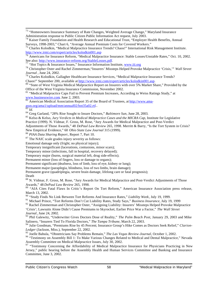<sup>73</sup> "Homeowners Insurance Summary of Rate Changes, Weighted Average Change," Maryland Insurance Administration response to Public Citizen Public Information Act request, July 2003.

<sup>74</sup> Kaiser Family Foundation and Health Research and Educational Trust, "Employer Health Benefits, Annual Surveys, 1998-2003," Chart 6, "Average Annual Premium Costs for Covered Workers."

<sup>78</sup> Christopher Oster and Rachel Zimmerman,"Insurers' Missteps Helped Provoke Malpractice 'Crisis,'" *Wall Street Journal* , June 24, 2002.

 $^{79}$  Charles Kolodkin, Gallagher Healthcare Insurance Services, "Medical Malpractice Insurance Trends? Chaos!" September 200, available at http://www.irmi.com/expert/articles/kolodkin001.asp.

<sup>80</sup> "State of West Virginia Medical Malpractice Report on Insurers with over 5% Market Share," Provided by the Office of the West Virginia Insurance Commission, November 2002.

<sup>81</sup> "Medical Malpractice Caps Fail to Prevent Premium Increases, According to Weiss Ratings Study," at www.businesswire.com, June 2, 2003.

 $82$  American Medical Association Report 35 of the Board of Trustees, at http://www.ama-

assn.org/ama1/upload/mm/annual02/bot35a02.rtf..

<sup>83</sup> *Id.*

l

<sup>84</sup> Greg Garland, "28% Rise Sought to Insure Doctors," *Baltimore Sun*, June 28, 2003.

<sup>85</sup> Kelso & Kelso*, Jury Verdicts in Medical Malpractice Cases and the MICRA Cap*, Institute for Legislative Practice (1999). N. Vidmar, F. Gross, M. Rose, "Jury Awards for Medical Malpractice and Post-Verdict Adjustments of Those Awards," 48 *DePaul Law Review* 265, 1998. Merritt & Barry, "Is the Tort System in Crisis? New Empirical Evidence," 60 *Ohio State Law Journal* 315 (1999).

<sup>86</sup> *PIAA Data Sharing Report*, Report 7, Part 10.

<sup>87</sup> The NAIC scale grades injury severity as follows:

Emotional damage only (fright; no physical injury);

Temporary insignificant (lacerations, contusions, minor scars);

Temporary minor (infections, fall in hospital, recovery delayed);

Temporary major (burns, surgical material left, drug side-effects);

Permanent minor (loss of fingers, loss or damage to organs);

Permanent significant (deafness, loss of limb, loss of eye, kidney or lung);

Permanent major (paraplegia, blindness, loss of two limbs, brain damage);

Permanent grave (quadriplegia, severe brain damage, lifelong care or fatal prognosis);

Death

88 N. Vidmar, F. Gross, M. Rose, "Jury Awards for Medical Malpractice and Post-Verdict Adjustments of Those Awards," 48 *DePaul Law Review* 265, 1998.

<sup>89</sup> "AIA Cites Fatal Flaws In Critic's Report On Tort Reform," American Insurance Association press release, March 13, 2002.

<sup>90</sup> "Study Finds No Link Between Tort Reforms And Insurance Rates," *Liability Week*, July 19, 1999.

<sup>91</sup> Michael Prince, "Tort Reforms Don't Cut Liability Rates, Study Says," *Business Insurance*, July 19, 1999

<sup>92</sup> Rachel Zimmerman and Christopher Oster, "Assigning Liability: Insurers' Missteps Helped Provoke Malpractice 'Crisis'; Lawsuits Alone Didn't Cause Premiums to Skyrocket; Earlier Price War a Factor," *The Wall Street*

*Journal*, June 24, 2002.

<sup>93</sup> Phil Galewitz, "Underwriter Gives Doctors Dose of Reality," *The Palm Beach Post*, January 29, 2003 and Mike Salinero, "Insurers Tied To Florida Doctors," *The Tampa Tribune*, March 22, 2003.

<sup>94</sup> Julie Goodman, "Premiums Rise by 45 Percent; Insurance Group's Hike Comes as Doctors Seek Relief," *Clarion-*Ledger (Jackson, Miss.), September 22, 2002.

<sup>95</sup> Joelle Babula, "Obstetricians Say Problems Remain," *The Las Vegas Review-Journal*, October 1, 2002.

<sup>96</sup> "Testimony on Assembly Bill 1: To Make Various Changes Related to Medical and Dental Malpractice," Nevada Assembly Committee on Medical Malpractice Issues, July 30, 2002.

<sup>97</sup> "Testimony Concerning the Affordability of Medical Malpractice Insurance for Physicians Practicing in New Jersey," public hearing before the Assembly Health and Human Services Committee and Banking and Insurance Committee, June 3, 2002.

<sup>&</sup>lt;sup>75</sup> Charles Kolodkin, "Medical Malpractice Insurance Trends? Chaos!" International Risk Management Institute. http://www.irmi.com/expert/articles/kolodkin001.asp

<sup>&</sup>lt;sup>76</sup> Americans for Insurance Reform, "Medical Malpractice Insurance: Stable Losses/Unstable Rates," Oct. 10, 2002. See also: http://www.insurance-reform.org/StableLosses.pdf.

<sup>&</sup>lt;sup>77</sup> "Hot Topics & Insurance Issues," Insurance Information Institute, www.iii.org